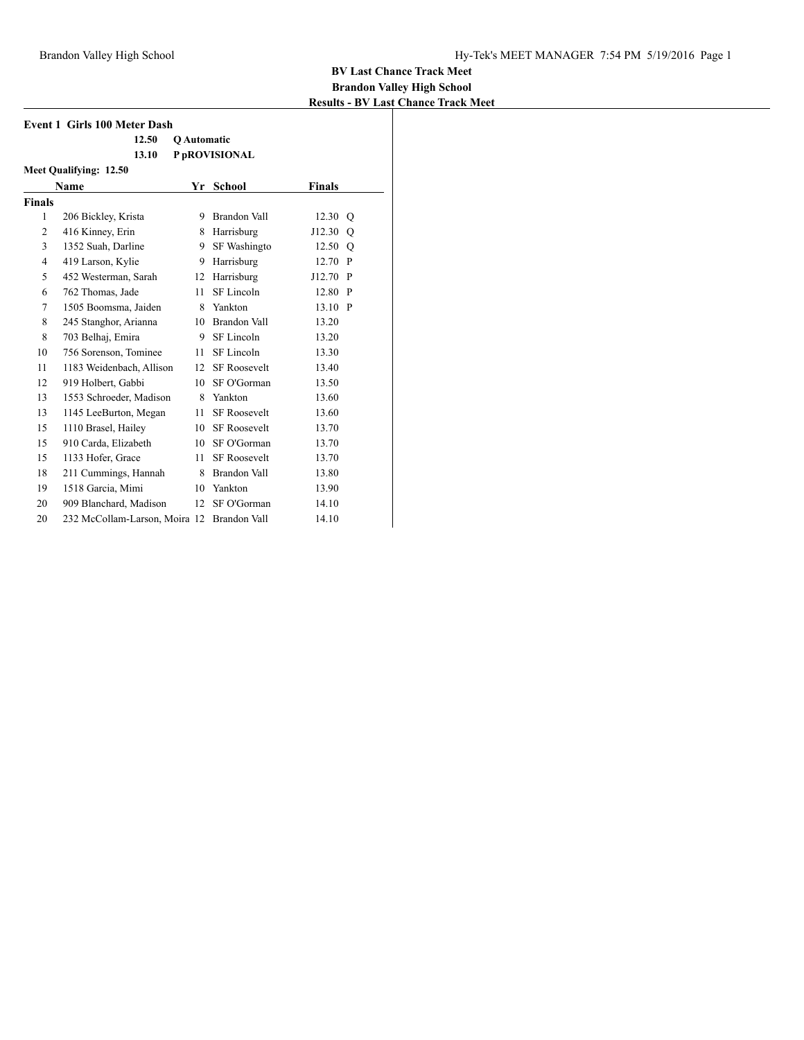| <b>Event 1 Girls 100 Meter Dash</b> |                               |                    |                     |               |              |  |  |
|-------------------------------------|-------------------------------|--------------------|---------------------|---------------|--------------|--|--|
|                                     | 12.50                         | <b>O</b> Automatic |                     |               |              |  |  |
|                                     | 13.10                         |                    | P pROVISIONAL       |               |              |  |  |
|                                     | Meet Qualifying: 12.50        |                    |                     |               |              |  |  |
|                                     | <b>Name</b>                   | Yr                 | <b>School</b>       | <b>Finals</b> |              |  |  |
| <b>Finals</b>                       |                               |                    |                     |               |              |  |  |
| 1                                   | 206 Bickley, Krista           | 9                  | Brandon Vall        | 12.30         | O            |  |  |
| $\overline{2}$                      | 416 Kinney, Erin              | 8                  | Harrisburg          | J12.30        | O            |  |  |
| 3                                   | 1352 Suah, Darline            | 9                  | <b>SF</b> Washingto | 12.50         | $\circ$      |  |  |
| $\overline{4}$                      | 419 Larson, Kylie             | 9                  | Harrisburg          | 12.70         | P            |  |  |
| 5                                   | 452 Westerman, Sarah          | 12                 | Harrisburg          | J12.70        | $\mathbf{P}$ |  |  |
| 6                                   | 762 Thomas, Jade              | 11                 | SF Lincoln          | 12.80         | P            |  |  |
| 7                                   | 1505 Boomsma, Jaiden          | 8                  | Yankton             | 13.10         | $\mathbf{P}$ |  |  |
| 8                                   | 245 Stanghor, Arianna         |                    | 10 Brandon Vall     | 13.20         |              |  |  |
| 8                                   | 703 Belhaj, Emira             | 9.                 | SF Lincoln          | 13.20         |              |  |  |
| 10                                  | 756 Sorenson, Tominee         | 11                 | SF Lincoln          | 13.30         |              |  |  |
| 11                                  | 1183 Weidenbach, Allison      | 12                 | <b>SF Roosevelt</b> | 13.40         |              |  |  |
| 12                                  | 919 Holbert, Gabbi            | 10                 | SF O'Gorman         | 13.50         |              |  |  |
| 13                                  | 1553 Schroeder, Madison       | 8                  | Yankton             | 13.60         |              |  |  |
| 13                                  | 1145 LeeBurton, Megan         | 11                 | <b>SF Roosevelt</b> | 13.60         |              |  |  |
| 15                                  | 1110 Brasel, Hailey           | 10                 | <b>SF Roosevelt</b> | 13.70         |              |  |  |
| 15                                  | 910 Carda, Elizabeth          | 10                 | SF O'Gorman         | 13.70         |              |  |  |
| 15                                  | 1133 Hofer, Grace             | 11                 | <b>SF Roosevelt</b> | 13.70         |              |  |  |
| 18                                  | 211 Cummings, Hannah          |                    | 8 Brandon Vall      | 13.80         |              |  |  |
| 19                                  | 1518 Garcia, Mimi             | 10                 | Yankton             | 13.90         |              |  |  |
| 20                                  | 909 Blanchard, Madison        | 12                 | SF O'Gorman         | 14.10         |              |  |  |
| 20                                  | 232 McCollam-Larson, Moira 12 |                    | <b>Brandon Vall</b> | 14.10         |              |  |  |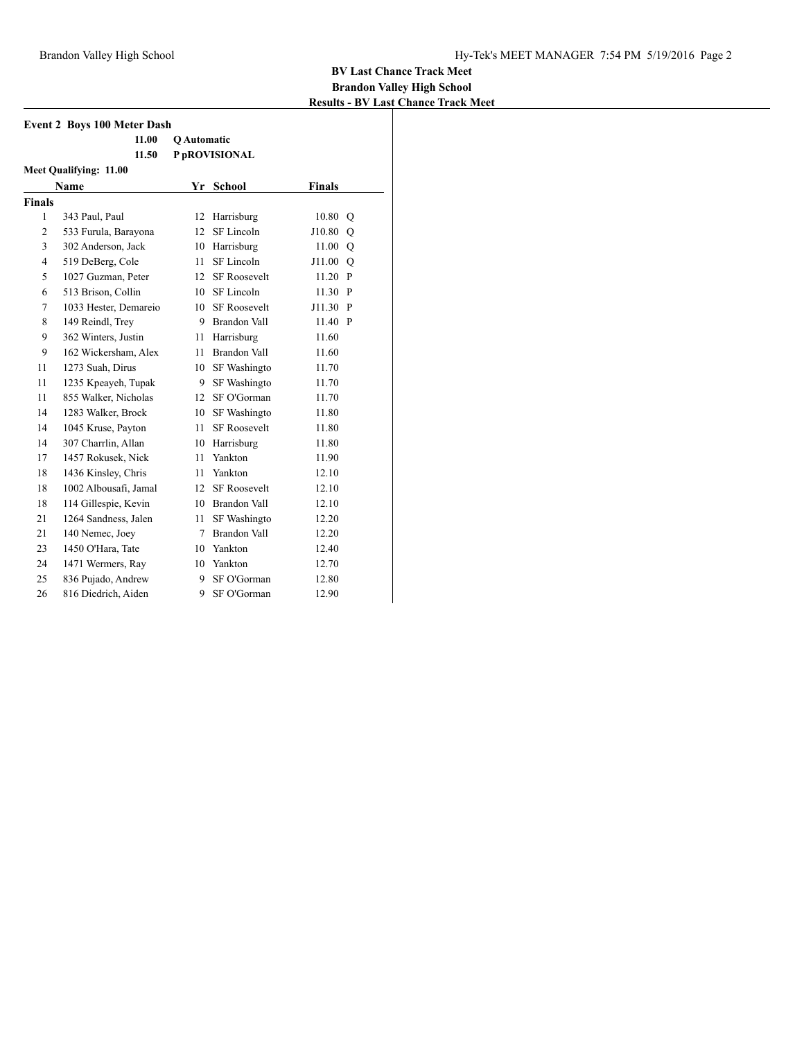| <b>Event 2 Boys 100 Meter Dash</b> |                        |                    |                     |               |               |  |  |
|------------------------------------|------------------------|--------------------|---------------------|---------------|---------------|--|--|
|                                    | 11.00                  | <b>O</b> Automatic |                     |               |               |  |  |
|                                    | P pROVISIONAL<br>11.50 |                    |                     |               |               |  |  |
| <b>Meet Qualifying: 11.00</b>      |                        |                    |                     |               |               |  |  |
|                                    | <b>Name</b>            | Yr                 | <b>School</b>       | <b>Finals</b> |               |  |  |
| <b>Finals</b>                      |                        |                    |                     |               |               |  |  |
| 1                                  | 343 Paul, Paul         | 12                 | Harrisburg          | 10.80         | $\circ$       |  |  |
| $\overline{c}$                     | 533 Furula, Barayona   | 12                 | SF Lincoln          | J10.80        | Q             |  |  |
| 3                                  | 302 Anderson, Jack     |                    | 10 Harrisburg       | 11.00         | Q             |  |  |
| 4                                  | 519 DeBerg, Cole       | 11                 | SF Lincoln          | J11.00        | $\mathcal{O}$ |  |  |
| 5                                  | 1027 Guzman, Peter     | 12                 | <b>SF Roosevelt</b> | 11.20         | P             |  |  |
| 6                                  | 513 Brison, Collin     |                    | 10 SF Lincoln       | 11.30         | $\mathbf{P}$  |  |  |
| 7                                  | 1033 Hester, Demareio  | 10                 | <b>SF Roosevelt</b> | J11.30        | $\mathbf{P}$  |  |  |
| 8                                  | 149 Reindl, Trey       |                    | 9 Brandon Vall      | 11.40         | $\mathbf{P}$  |  |  |
| 9                                  | 362 Winters, Justin    | 11                 | Harrisburg          | 11.60         |               |  |  |
| 9                                  | 162 Wickersham, Alex   | 11                 | Brandon Vall        | 11.60         |               |  |  |
| 11                                 | 1273 Suah, Dirus       | 10                 | SF Washingto        | 11.70         |               |  |  |
| 11                                 | 1235 Kpeayeh, Tupak    | 9.                 | <b>SF Washingto</b> | 11.70         |               |  |  |
| 11                                 | 855 Walker, Nicholas   | 12                 | SF O'Gorman         | 11.70         |               |  |  |
| 14                                 | 1283 Walker, Brock     | 10                 | <b>SF Washingto</b> | 11.80         |               |  |  |
| 14                                 | 1045 Kruse, Payton     | 11                 | <b>SF Roosevelt</b> | 11.80         |               |  |  |
| 14                                 | 307 Charrlin, Allan    | 10                 | Harrisburg          | 11.80         |               |  |  |
| 17                                 | 1457 Rokusek, Nick     | 11                 | Yankton             | 11.90         |               |  |  |
| 18                                 | 1436 Kinsley, Chris    | 11                 | Yankton             | 12.10         |               |  |  |
| 18                                 | 1002 Albousafi, Jamal  | 12                 | <b>SF Roosevelt</b> | 12.10         |               |  |  |
| 18                                 | 114 Gillespie, Kevin   |                    | 10 Brandon Vall     | 12.10         |               |  |  |
| 21                                 | 1264 Sandness, Jalen   | 11 -               | SF Washingto        | 12.20         |               |  |  |
| 21                                 | 140 Nemec, Joey        | 7                  | <b>Brandon Vall</b> | 12.20         |               |  |  |
| 23                                 | 1450 O'Hara, Tate      |                    | 10 Yankton          | 12.40         |               |  |  |
| 24                                 | 1471 Wermers, Ray      |                    | 10 Yankton          | 12.70         |               |  |  |
| 25                                 | 836 Pujado, Andrew     | 9                  | SF O'Gorman         | 12.80         |               |  |  |
| 26                                 | 816 Diedrich, Aiden    | 9                  | SF O'Gorman         | 12.90         |               |  |  |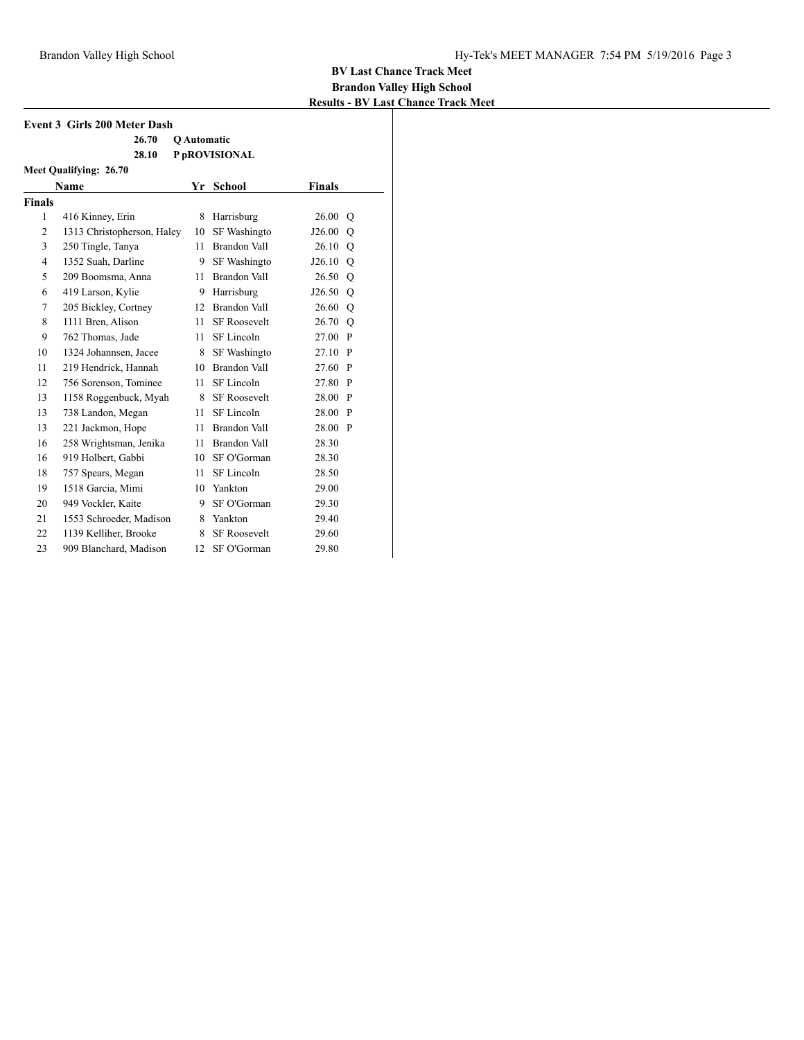|                |                                     |    |                     |            | <b>Results - BV La</b> |
|----------------|-------------------------------------|----|---------------------|------------|------------------------|
|                | <b>Event 3 Girls 200 Meter Dash</b> |    |                     |            |                        |
|                | 26.70                               |    | Q Automatic         |            |                        |
|                | 28.10                               |    | P pROVISIONAL       |            |                        |
|                | Meet Qualifying: 26.70              |    |                     |            |                        |
|                | <b>Name</b>                         |    | Yr School           | Finals     |                        |
| <b>Finals</b>  |                                     |    |                     |            |                        |
| 1              | 416 Kinney, Erin                    | 8  | Harrisburg          | 26.00      | $\circ$                |
| $\overline{2}$ | 1313 Christopherson, Haley          | 10 | SF Washingto        | J26.00     | $\circ$                |
| 3              | 250 Tingle, Tanya                   | 11 | Brandon Vall        | 26.10      | Q                      |
| $\overline{4}$ | 1352 Suah, Darline                  | 9  | SF Washingto        | $J26.10$ O |                        |
| 5              | 209 Boomsma, Anna                   | 11 | Brandon Vall        | 26.50 Q    |                        |
| 6              | 419 Larson, Kylie                   | 9  | Harrisburg          | J26.50     | $\circ$                |
| 7              | 205 Bickley, Cortney                | 12 | <b>Brandon Vall</b> | 26.60 Q    |                        |
| 8              | 1111 Bren, Alison                   | 11 | <b>SF Roosevelt</b> | 26.70 Q    |                        |
| 9              | 762 Thomas, Jade                    | 11 | SF Lincoln          | 27.00 P    |                        |
| 10             | 1324 Johannsen, Jacee               | 8  | SF Washingto        | 27.10      | $\mathbf{P}$           |
| 11             | 219 Hendrick, Hannah                | 10 | Brandon Vall        | 27.60      | $\mathbf{P}$           |
| 12             | 756 Sorenson, Tominee               | 11 | SF Lincoln          | 27.80 P    |                        |
| 13             | 1158 Roggenbuck, Myah               | 8. | <b>SF Roosevelt</b> | 28.00 P    |                        |
| 13             | 738 Landon, Megan                   | 11 | SF Lincoln          | 28.00 P    |                        |
| 13             | 221 Jackmon, Hope                   | 11 | Brandon Vall        | 28.00 P    |                        |
| 16             | 258 Wrightsman, Jenika              | 11 | Brandon Vall        | 28.30      |                        |
| 16             | 919 Holbert, Gabbi                  | 10 | SF O'Gorman         | 28.30      |                        |
| 18             | 757 Spears, Megan                   | 11 | SF Lincoln          | 28.50      |                        |
| 19             | 1518 Garcia, Mimi                   | 10 | Yankton             | 29.00      |                        |
| 20             | 949 Vockler, Kaite                  | 9  | SF O'Gorman         | 29.30      |                        |
| 21             | 1553 Schroeder, Madison             | 8. | Yankton             | 29.40      |                        |
| 22             | 1139 Kelliher, Brooke               | 8  | SF Roosevelt        | 29.60      |                        |
| 23             | 909 Blanchard, Madison              | 12 | SF O'Gorman         | 29.80      |                        |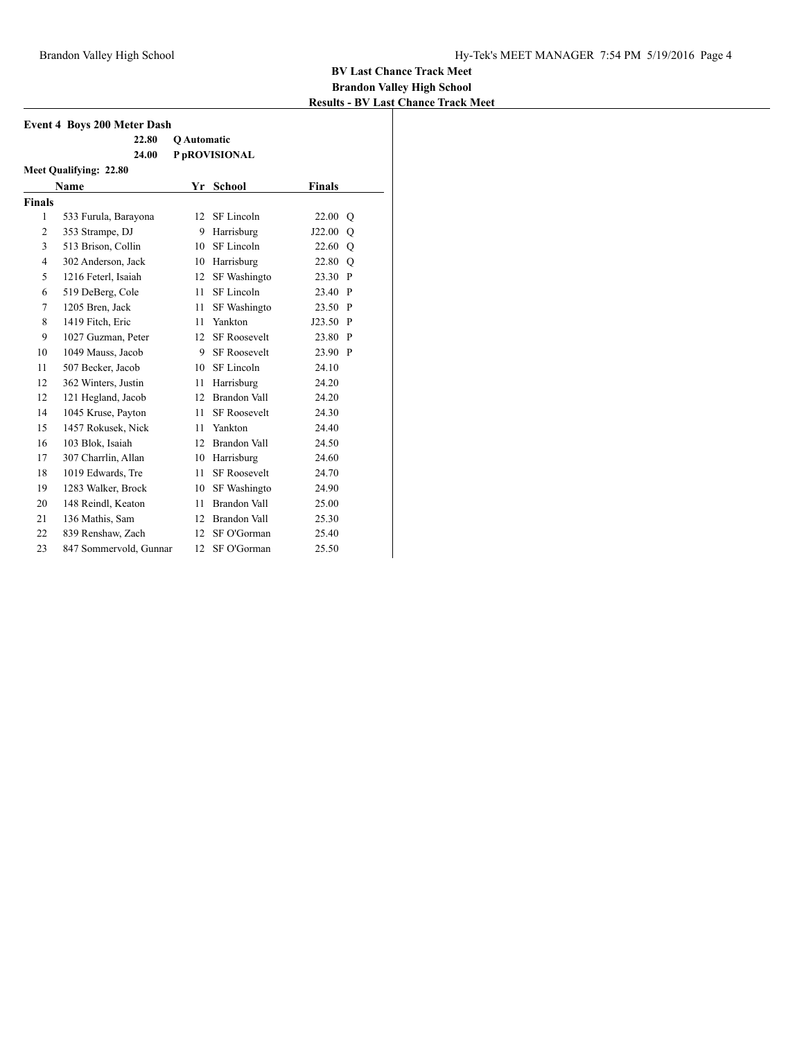| <b>Event 4 Boys 200 Meter Dash</b> |                        |                    |                     |               |              |  |
|------------------------------------|------------------------|--------------------|---------------------|---------------|--------------|--|
|                                    | 22.80                  | <b>O</b> Automatic |                     |               |              |  |
|                                    | 24.00                  |                    | P pROVISIONAL       |               |              |  |
|                                    | Meet Qualifying: 22.80 |                    |                     |               |              |  |
|                                    | Name                   | Yr                 | School              | <b>Finals</b> |              |  |
| <b>Finals</b>                      |                        |                    |                     |               |              |  |
| $\mathbf{1}$                       | 533 Furula, Barayona   | 12                 | SF Lincoln          | 22.00         | O            |  |
| $\overline{2}$                     | 353 Strampe, DJ        | 9                  | Harrisburg          | J22.00        | O            |  |
| 3                                  | 513 Brison, Collin     | 10                 | SF Lincoln          | 22.60         | Q            |  |
| $\overline{4}$                     | 302 Anderson, Jack     |                    | 10 Harrisburg       | 22.80 Q       |              |  |
| 5                                  | 1216 Feterl, Isaiah    | 12                 | SF Washingto        | 23.30         | $\mathbf{P}$ |  |
| 6                                  | 519 DeBerg, Cole       | 11                 | SF Lincoln          | 23.40         | $\mathbf{P}$ |  |
| 7                                  | 1205 Bren. Jack        | 11                 | SF Washingto        | 23.50         | P            |  |
| 8                                  | 1419 Fitch, Eric       |                    | 11 Yankton          | J23.50 P      |              |  |
| 9                                  | 1027 Guzman, Peter     | 12                 | <b>SF Roosevelt</b> | 23.80 P       |              |  |
| 10                                 | 1049 Mauss, Jacob      | 9                  | <b>SF Roosevelt</b> | 23.90         | $\mathbf{P}$ |  |
| 11                                 | 507 Becker, Jacob      | 10 <sup>1</sup>    | SF Lincoln          | 24.10         |              |  |
| 12                                 | 362 Winters, Justin    | 11 -               | Harrisburg          | 24.20         |              |  |
| 12                                 | 121 Hegland, Jacob     | 12                 | Brandon Vall        | 24.20         |              |  |
| 14                                 | 1045 Kruse, Payton     | 11                 | <b>SF</b> Roosevelt | 24.30         |              |  |
| 15                                 | 1457 Rokusek, Nick     | 11                 | Yankton             | 24.40         |              |  |
| 16                                 | 103 Blok, Isaiah       | 12                 | Brandon Vall        | 24.50         |              |  |
| 17                                 | 307 Charrlin, Allan    | 10                 | Harrisburg          | 24.60         |              |  |
| 18                                 | 1019 Edwards, Tre      | 11                 | <b>SF Roosevelt</b> | 24.70         |              |  |
| 19                                 | 1283 Walker, Brock     | 10                 | SF Washingto        | 24.90         |              |  |
| 20                                 | 148 Reindl, Keaton     | 11                 | Brandon Vall        | 25.00         |              |  |
| 21                                 | 136 Mathis, Sam        | 12                 | Brandon Vall        | 25.30         |              |  |
| 22                                 | 839 Renshaw, Zach      | 12                 | SF O'Gorman         | 25.40         |              |  |
| 23                                 | 847 Sommervold, Gunnar | 12                 | SF O'Gorman         | 25.50         |              |  |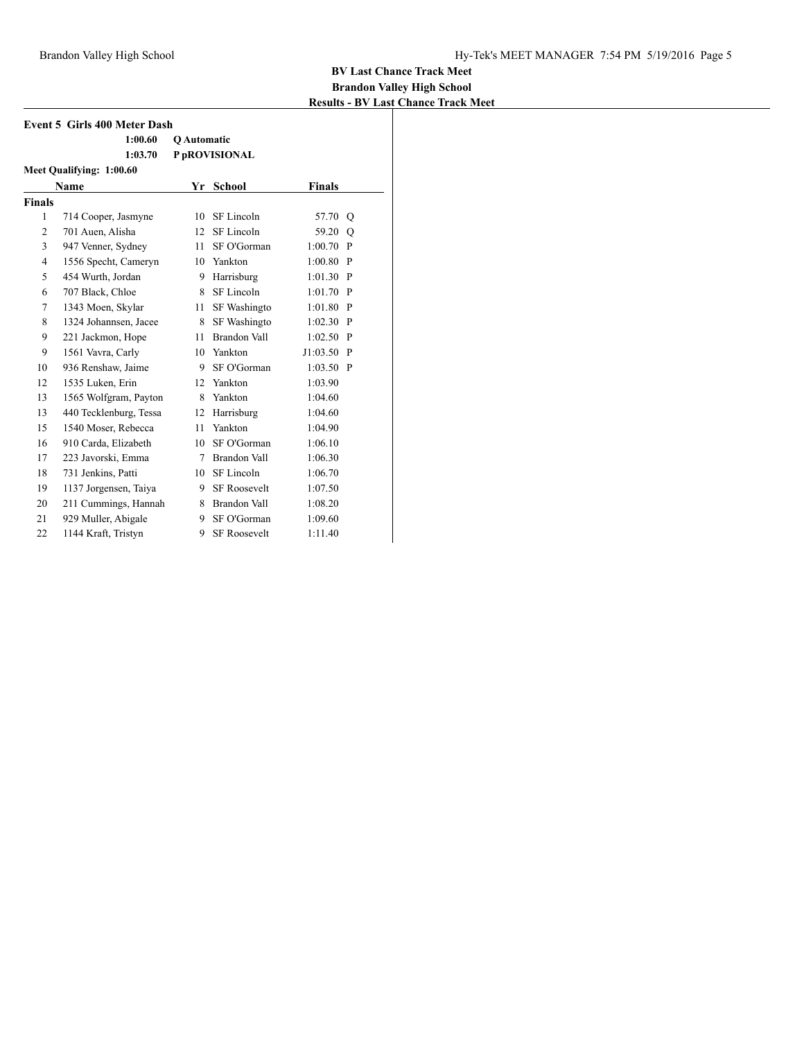| <b>Event 5 Girls 400 Meter Dash</b> |                          |             |                     |               |              |  |
|-------------------------------------|--------------------------|-------------|---------------------|---------------|--------------|--|
|                                     | 1:00.60                  | Q Automatic |                     |               |              |  |
|                                     | 1:03.70                  |             | P pROVISIONAL       |               |              |  |
|                                     | Meet Qualifying: 1:00.60 |             |                     |               |              |  |
|                                     | <b>Name</b>              | Yr          | <b>School</b>       | <b>Finals</b> |              |  |
| <b>Finals</b>                       |                          |             |                     |               |              |  |
| $\mathbf{1}$                        | 714 Cooper, Jasmyne      | 10          | SF Lincoln          | 57.70         | Q            |  |
| 2                                   | 701 Auen, Alisha         | 12          | SF Lincoln          | 59.20         | O            |  |
| 3                                   | 947 Venner, Sydney       | 11          | SF O'Gorman         | 1:00.70       | $\mathbf{P}$ |  |
| $\overline{4}$                      | 1556 Specht, Cameryn     |             | 10 Yankton          | 1:00.80       | $\mathbf{P}$ |  |
| 5                                   | 454 Wurth, Jordan        | 9           | Harrisburg          | 1:01.30       | P            |  |
| 6                                   | 707 Black, Chloe         | 8           | SF Lincoln          | 1:01.70       | $\mathbf{P}$ |  |
| 7                                   | 1343 Moen, Skylar        | 11          | SF Washingto        | 1:01.80       | $\mathbf{P}$ |  |
| 8                                   | 1324 Johannsen, Jacee    | 8           | SF Washingto        | 1:02.30       | P            |  |
| 9                                   | 221 Jackmon, Hope        | 11          | Brandon Vall        | 1:02.50       | $\mathbf{P}$ |  |
| 9                                   | 1561 Vavra, Carly        | 10          | Yankton             | J1:03.50      | $\mathbf{P}$ |  |
| 10                                  | 936 Renshaw, Jaime       | 9           | SF O'Gorman         | 1:03.50       | $\mathbf{P}$ |  |
| 12                                  | 1535 Luken, Erin         | 12          | Yankton             | 1:03.90       |              |  |
| 13                                  | 1565 Wolfgram, Payton    | 8           | Yankton             | 1:04.60       |              |  |
| 13                                  | 440 Tecklenburg, Tessa   | 12          | Harrisburg          | 1:04.60       |              |  |
| 15                                  | 1540 Moser, Rebecca      | 11          | Yankton             | 1:04.90       |              |  |
| 16                                  | 910 Carda, Elizabeth     | 10          | SF O'Gorman         | 1:06.10       |              |  |
| 17                                  | 223 Javorski, Emma       | 7           | <b>Brandon Vall</b> | 1:06.30       |              |  |
| 18                                  | 731 Jenkins, Patti       |             | 10 SF Lincoln       | 1:06.70       |              |  |
| 19                                  | 1137 Jorgensen, Taiya    | 9           | <b>SF Roosevelt</b> | 1:07.50       |              |  |
| 20                                  | 211 Cummings, Hannah     | 8           | Brandon Vall        | 1:08.20       |              |  |
| 21                                  | 929 Muller, Abigale      | 9           | SF O'Gorman         | 1:09.60       |              |  |
| 22                                  | 1144 Kraft, Tristyn      | 9           | <b>SF Roosevelt</b> | 1:11.40       |              |  |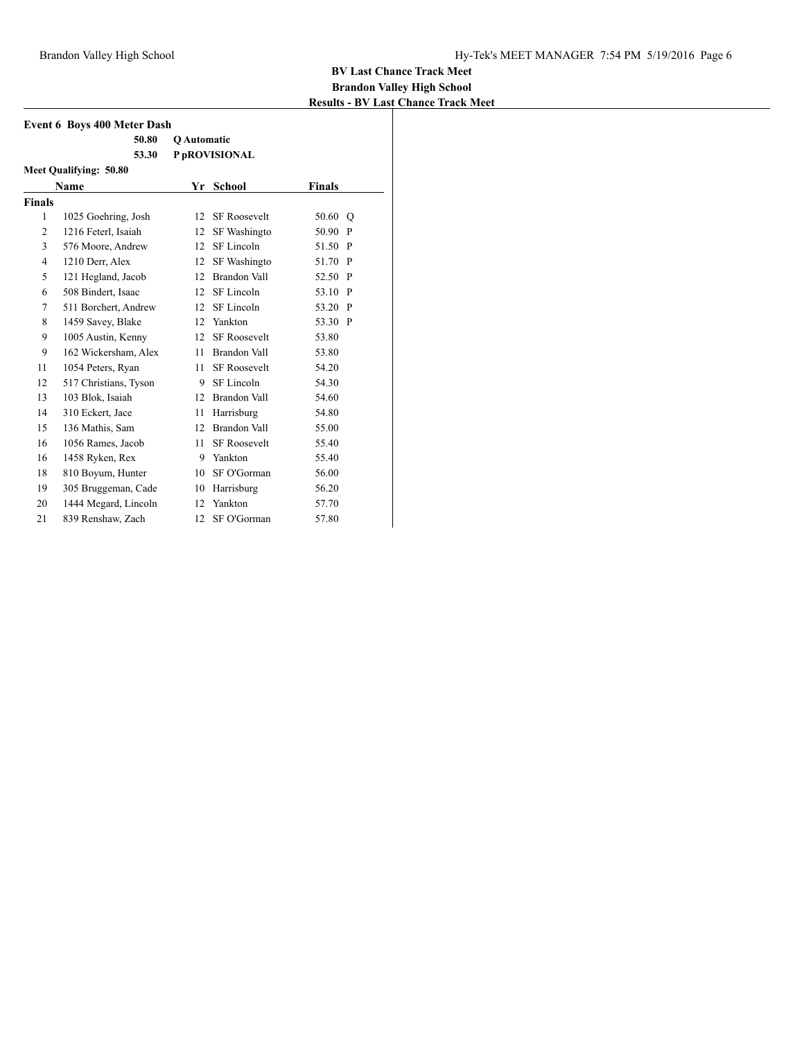| <b>Event 6 Boys 400 Meter Dash</b> |                               |                    |                     |         |              |  |
|------------------------------------|-------------------------------|--------------------|---------------------|---------|--------------|--|
|                                    | 50.80                         | <b>O</b> Automatic |                     |         |              |  |
|                                    | 53.30                         |                    | P pROVISIONAL       |         |              |  |
|                                    | <b>Meet Qualifying: 50.80</b> |                    |                     |         |              |  |
|                                    | Name                          |                    | Yr School           | Finals  |              |  |
| <b>Finals</b>                      |                               |                    |                     |         |              |  |
| 1                                  | 1025 Goehring, Josh           | 12                 | <b>SF Roosevelt</b> | 50.60 Q |              |  |
| 2                                  | 1216 Feterl, Isaiah           | 12                 | SF Washingto        | 50.90   | P            |  |
| 3                                  | 576 Moore, Andrew             | 12                 | SF Lincoln          | 51.50 P |              |  |
| $\overline{4}$                     | 1210 Derr, Alex               | 12                 | SF Washingto        | 51.70 P |              |  |
| 5                                  | 121 Hegland, Jacob            |                    | 12 Brandon Vall     | 52.50 P |              |  |
| 6                                  | 508 Bindert, Isaac            | 12                 | SF Lincoln          | 53.10   | $\mathbf{P}$ |  |
| 7                                  | 511 Borchert, Andrew          | 12                 | SF Lincoln          | 53.20   | $\mathbf{P}$ |  |
| 8                                  | 1459 Savey, Blake             | 12                 | Yankton             | 53.30 P |              |  |
| 9                                  | 1005 Austin, Kenny            | 12                 | <b>SF Roosevelt</b> | 53.80   |              |  |
| 9                                  | 162 Wickersham, Alex          | 11                 | Brandon Vall        | 53.80   |              |  |
| 11                                 | 1054 Peters, Ryan             | 11                 | <b>SF Roosevelt</b> | 54.20   |              |  |
| 12                                 | 517 Christians, Tyson         | 9                  | SF Lincoln          | 54.30   |              |  |
| 13                                 | 103 Blok, Isaiah              |                    | 12 Brandon Vall     | 54.60   |              |  |
| 14                                 | 310 Eckert, Jace              | 11                 | Harrisburg          | 54.80   |              |  |
| 15                                 | 136 Mathis, Sam               | 12                 | Brandon Vall        | 55.00   |              |  |
| 16                                 | 1056 Rames, Jacob             | 11                 | <b>SF</b> Roosevelt | 55.40   |              |  |
| 16                                 | 1458 Ryken, Rex               | 9                  | Yankton             | 55.40   |              |  |
| 18                                 | 810 Boyum, Hunter             | 10                 | SF O'Gorman         | 56.00   |              |  |
| 19                                 | 305 Bruggeman, Cade           | 10                 | Harrisburg          | 56.20   |              |  |
| 20                                 | 1444 Megard, Lincoln          | 12                 | Yankton             | 57.70   |              |  |
| 21                                 | 839 Renshaw, Zach             | 12                 | SF O'Gorman         | 57.80   |              |  |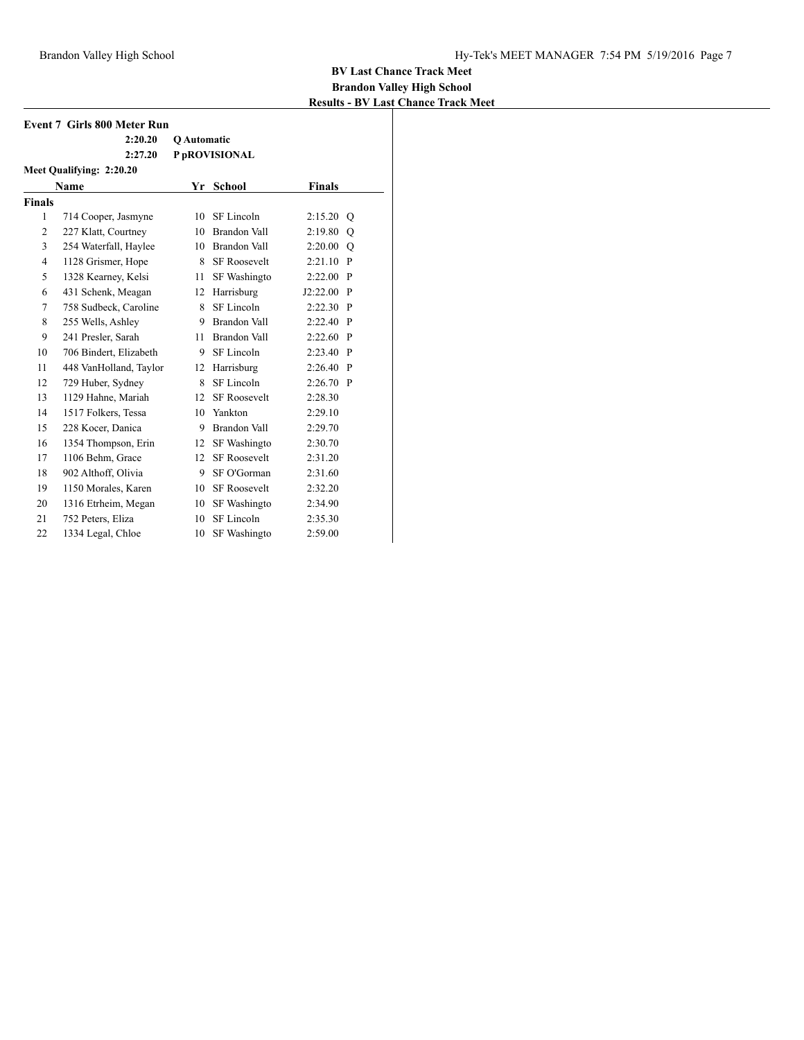|                | <b>Event 7 Girls 800 Meter Run</b> |                    |                     |               |              |  |
|----------------|------------------------------------|--------------------|---------------------|---------------|--------------|--|
|                | 2:20.20                            | <b>O</b> Automatic |                     |               |              |  |
|                | 2:27.20                            |                    | P pROVISIONAL       |               |              |  |
|                | Meet Qualifying: 2:20.20           |                    |                     |               |              |  |
|                | <b>Name</b>                        | Yr                 | <b>School</b>       | <b>Finals</b> |              |  |
| <b>Finals</b>  |                                    |                    |                     |               |              |  |
| $\mathbf{1}$   | 714 Cooper, Jasmyne                | 10                 | SF Lincoln          | 2:15.20       | $\circ$      |  |
| 2              | 227 Klatt, Courtney                | 10                 | Brandon Vall        | 2:19.80       | Q            |  |
| 3              | 254 Waterfall, Haylee              | 10                 | Brandon Vall        | 2:20.00       | Q            |  |
| $\overline{4}$ | 1128 Grismer, Hope                 | 8                  | <b>SF Roosevelt</b> | 2:21.10       | P            |  |
| 5              | 1328 Kearney, Kelsi                | 11                 | SF Washingto        | 2:22.00       | P            |  |
| 6              | 431 Schenk, Meagan                 | 12                 | Harrisburg          | J2:22.00      | $\mathbf{P}$ |  |
| 7              | 758 Sudbeck, Caroline              | 8                  | SF Lincoln          | 2:22.30       | $\mathbf{P}$ |  |
| 8              | 255 Wells, Ashley                  | 9                  | Brandon Vall        | 2:22.40       | P            |  |
| 9              | 241 Presler, Sarah                 | 11                 | Brandon Vall        | 2:22.60       | $\mathbf{P}$ |  |
| 10             | 706 Bindert, Elizabeth             | 9                  | SF Lincoln          | 2:23.40       | P            |  |
| 11             | 448 VanHolland, Taylor             | 12                 | Harrisburg          | 2:26.40       | P            |  |
| 12             | 729 Huber, Sydney                  | 8                  | SF Lincoln          | $2:26.70$ P   |              |  |
| 13             | 1129 Hahne, Mariah                 | 12 <sup>2</sup>    | <b>SF Roosevelt</b> | 2:28.30       |              |  |
| 14             | 1517 Folkers, Tessa                | 10                 | Yankton             | 2:29.10       |              |  |
| 15             | 228 Kocer, Danica                  | 9.                 | Brandon Vall        | 2:29.70       |              |  |
| 16             | 1354 Thompson, Erin                | 12                 | SF Washingto        | 2:30.70       |              |  |
| 17             | 1106 Behm, Grace                   | 12 <sup>2</sup>    | <b>SF Roosevelt</b> | 2:31.20       |              |  |
| 18             | 902 Althoff, Olivia                | 9.                 | SF O'Gorman         | 2:31.60       |              |  |
| 19             | 1150 Morales, Karen                | 10                 | <b>SF Roosevelt</b> | 2:32.20       |              |  |
| 20             | 1316 Etrheim, Megan                | 10                 | SF Washingto        | 2:34.90       |              |  |
| 21             | 752 Peters, Eliza                  | 10                 | SF Lincoln          | 2:35.30       |              |  |
| 22             | 1334 Legal, Chloe                  | 10                 | SF Washingto        | 2:59.00       |              |  |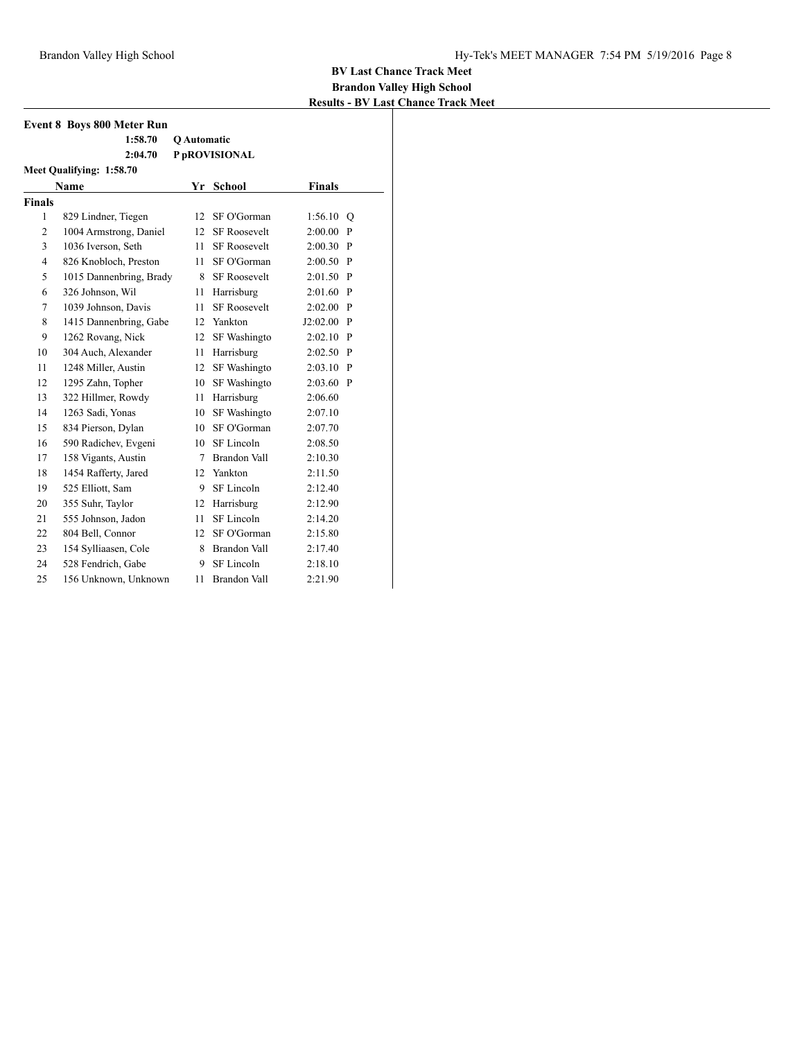|                          | <b>Event 8 Boys 800 Meter Run</b> |             |                     |               |     |  |  |  |
|--------------------------|-----------------------------------|-------------|---------------------|---------------|-----|--|--|--|
|                          | 1:58.70                           | Q Automatic |                     |               |     |  |  |  |
|                          | 2:04.70                           |             | P pROVISIONAL       |               |     |  |  |  |
| Meet Qualifying: 1:58.70 |                                   |             |                     |               |     |  |  |  |
|                          | <b>Name</b>                       | Yr          | <b>School</b>       | <b>Finals</b> |     |  |  |  |
| <b>Finals</b>            |                                   |             |                     |               |     |  |  |  |
| 1                        | 829 Lindner, Tiegen               | 12          | SF O'Gorman         | 1:56.10       | Q   |  |  |  |
| $\overline{c}$           | 1004 Armstrong, Daniel            | 12          | <b>SF Roosevelt</b> | 2:00.00       | P   |  |  |  |
| 3                        | 1036 Iverson, Seth                | 11.         | <b>SF Roosevelt</b> | $2:00.30$ P   |     |  |  |  |
| $\overline{4}$           | 826 Knobloch, Preston             | 11.         | SF O'Gorman         | $2:00.50$ P   |     |  |  |  |
| 5                        | 1015 Dannenbring, Brady           | 8           | <b>SF Roosevelt</b> | $2:01.50$ P   |     |  |  |  |
| 6                        | 326 Johnson, Wil                  | 11          | Harrisburg          | 2:01.60       | P   |  |  |  |
| 7                        | 1039 Johnson, Davis               | 11          | <b>SF Roosevelt</b> | 2:02.00       | - P |  |  |  |
| 8                        | 1415 Dannenbring, Gabe            |             | 12 Yankton          | $J2:02.00$ P  |     |  |  |  |
| 9                        | 1262 Rovang, Nick                 | 12          | <b>SF</b> Washingto | $2:02.10$ P   |     |  |  |  |
| 10                       | 304 Auch, Alexander               | 11          | Harrisburg          | $2:02.50$ P   |     |  |  |  |
| 11                       | 1248 Miller, Austin               | 12          | SF Washingto        | 2:03.10       | - P |  |  |  |
| 12                       | 1295 Zahn, Topher                 | 10          | SF Washingto        | $2:03.60$ P   |     |  |  |  |
| 13                       | 322 Hillmer, Rowdy                | 11          | Harrisburg          | 2:06.60       |     |  |  |  |
| 14                       | 1263 Sadi, Yonas                  | 10          | SF Washingto        | 2:07.10       |     |  |  |  |
| 15                       | 834 Pierson, Dylan                | 10          | SF O'Gorman         | 2:07.70       |     |  |  |  |
| 16                       | 590 Radichev, Evgeni              | 10          | SF Lincoln          | 2:08.50       |     |  |  |  |
| 17                       | 158 Vigants, Austin               | 7           | Brandon Vall        | 2:10.30       |     |  |  |  |
| 18                       | 1454 Rafferty, Jared              | 12          | Yankton             | 2:11.50       |     |  |  |  |
| 19                       | 525 Elliott, Sam                  | 9           | SF Lincoln          | 2:12.40       |     |  |  |  |
| 20                       | 355 Suhr, Taylor                  | 12          | Harrisburg          | 2:12.90       |     |  |  |  |
| 21                       | 555 Johnson, Jadon                | 11          | SF Lincoln          | 2:14.20       |     |  |  |  |
| 22                       | 804 Bell, Connor                  | 12          | SF O'Gorman         | 2:15.80       |     |  |  |  |
| 23                       | 154 Sylliaasen, Cole              | 8           | Brandon Vall        | 2:17.40       |     |  |  |  |
| 24                       | 528 Fendrich, Gabe                | 9           | SF Lincoln          | 2:18.10       |     |  |  |  |
| 25                       | 156 Unknown, Unknown              | 11          | <b>Brandon Vall</b> | 2:21.90       |     |  |  |  |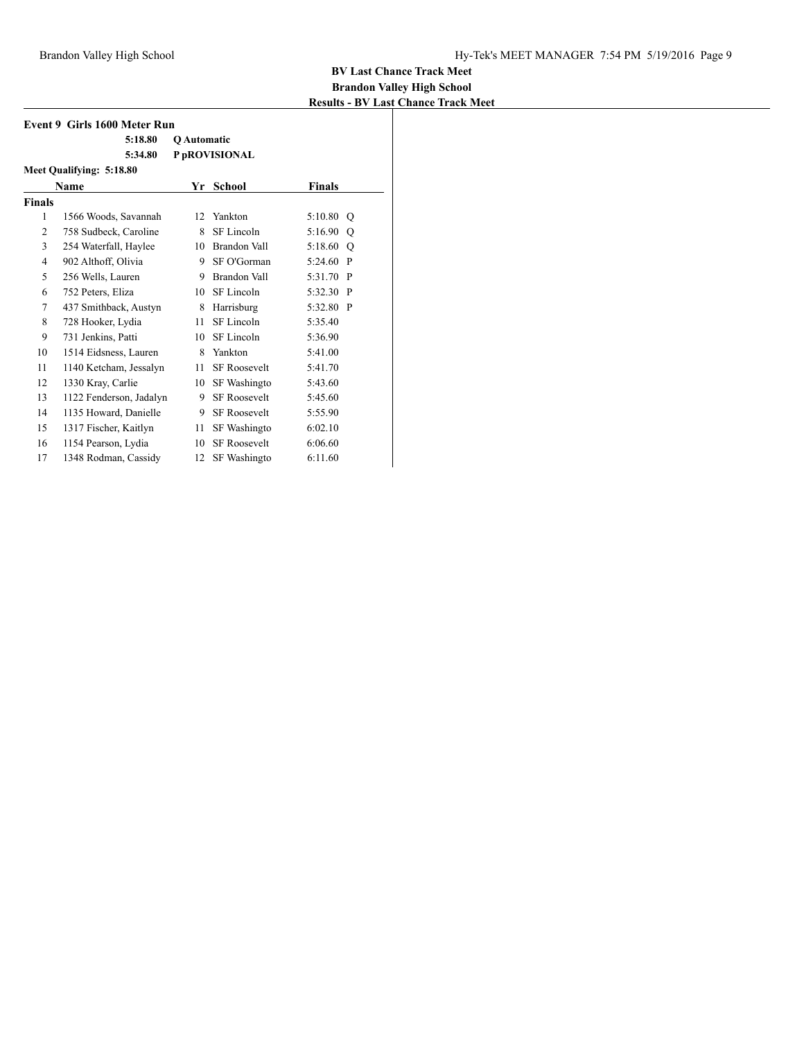| Event 9 Girls 1600 Meter Run |                          |                    |                     |                         |  |  |
|------------------------------|--------------------------|--------------------|---------------------|-------------------------|--|--|
|                              | 5:18.80                  | <b>O</b> Automatic |                     |                         |  |  |
|                              | 5:34.80                  |                    | P pROVISIONAL       |                         |  |  |
|                              | Meet Qualifying: 5:18.80 |                    |                     |                         |  |  |
|                              | Name                     | Yr                 | School              | <b>Finals</b>           |  |  |
| <b>Finals</b>                |                          |                    |                     |                         |  |  |
| 1                            | 1566 Woods, Savannah     | 12                 | Yankton             | 5:10.80<br>O            |  |  |
| $\overline{2}$               | 758 Sudbeck, Caroline    | 8                  | SF Lincoln          | 5:16.90<br>O            |  |  |
| 3                            | 254 Waterfall, Haylee    | 10                 | Brandon Vall        | 5:18.60<br>$\circ$      |  |  |
| $\overline{4}$               | 902 Althoff, Olivia      | 9.                 | SF O'Gorman         | 5:24.60 P               |  |  |
| 5                            | 256 Wells, Lauren        | 9                  | Brandon Vall        | 5:31.70<br>$\mathbf{P}$ |  |  |
| 6                            | 752 Peters, Eliza        | 10                 | SF Lincoln          | 5:32.30 P               |  |  |
| 7                            | 437 Smithback, Austyn    | 8                  | Harrisburg          | 5:32.80 P               |  |  |
| 8                            | 728 Hooker, Lydia        | 11                 | SF Lincoln          | 5:35.40                 |  |  |
| 9                            | 731 Jenkins, Patti       | 10                 | SF Lincoln          | 5:36.90                 |  |  |
| 10                           | 1514 Eidsness, Lauren    | 8                  | Yankton             | 5:41.00                 |  |  |
| 11                           | 1140 Ketcham, Jessalyn   | 11                 | <b>SF Roosevelt</b> | 5:41.70                 |  |  |
| 12                           | 1330 Kray, Carlie        | 10                 | SF Washingto        | 5:43.60                 |  |  |
| 13                           | 1122 Fenderson, Jadalyn  | 9                  | <b>SF Roosevelt</b> | 5:45.60                 |  |  |
| 14                           | 1135 Howard, Danielle    | 9                  | <b>SF Roosevelt</b> | 5:55.90                 |  |  |
| 15                           | 1317 Fischer, Kaitlyn    | 11                 | SF Washingto        | 6:02.10                 |  |  |
| 16                           | 1154 Pearson, Lydia      | 10                 | <b>SF Roosevelt</b> | 6:06.60                 |  |  |
| 17                           | 1348 Rodman, Cassidy     | 12                 | <b>SF Washingto</b> | 6:11.60                 |  |  |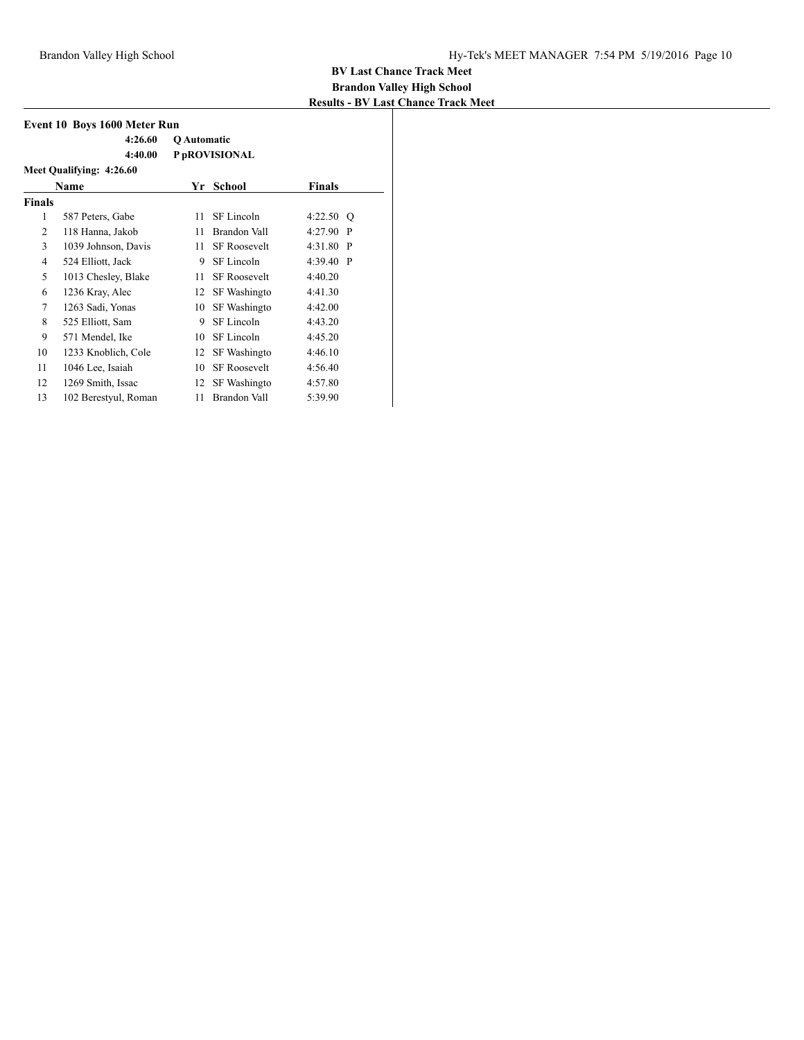| <b>Event 10 Boys 1600 Meter Run</b> |                          |             |                     |             |              |  |  |
|-------------------------------------|--------------------------|-------------|---------------------|-------------|--------------|--|--|
|                                     | 4:26.60                  | Q Automatic |                     |             |              |  |  |
|                                     | 4:40.00                  |             | P pROVISIONAL       |             |              |  |  |
|                                     | Meet Qualifying: 4:26.60 |             |                     |             |              |  |  |
|                                     | Name                     | Yr          | School              | Finals      |              |  |  |
| <b>Finals</b>                       |                          |             |                     |             |              |  |  |
| 1                                   | 587 Peters, Gabe         | 11          | SF Lincoln          | 4:22.50     | O            |  |  |
| 2                                   | 118 Hanna, Jakob         | 11          | Brandon Vall        | 4:27.90     | $\mathbf{P}$ |  |  |
| 3                                   | 1039 Johnson, Davis      | 11          | <b>SF Roosevelt</b> | $4:31.80$ P |              |  |  |
| 4                                   | 524 Elliott, Jack        | 9           | SF Lincoln          | $4:39.40$ P |              |  |  |
| 5                                   | 1013 Chesley, Blake      | 11          | <b>SF Roosevelt</b> | 4:40.20     |              |  |  |
| 6                                   | 1236 Kray, Alec          | 12          | SF Washingto        | 4:41.30     |              |  |  |
| 7                                   | 1263 Sadi, Yonas         | 10          | SF Washingto        | 4:42.00     |              |  |  |
| 8                                   | 525 Elliott, Sam         | 9           | SF Lincoln          | 4:43.20     |              |  |  |
| 9                                   | 571 Mendel, Ike          | 10          | SF Lincoln          | 4:45.20     |              |  |  |
| 10                                  | 1233 Knoblich, Cole      | 12          | SF Washingto        | 4:46.10     |              |  |  |
| 11                                  | 1046 Lee, Isaiah         | 10          | <b>SF Roosevelt</b> | 4:56.40     |              |  |  |
| 12                                  | 1269 Smith, Issac        | 12          | SF Washingto        | 4:57.80     |              |  |  |
| 13                                  | 102 Berestyul, Roman     | 11          | Brandon Vall        | 5:39.90     |              |  |  |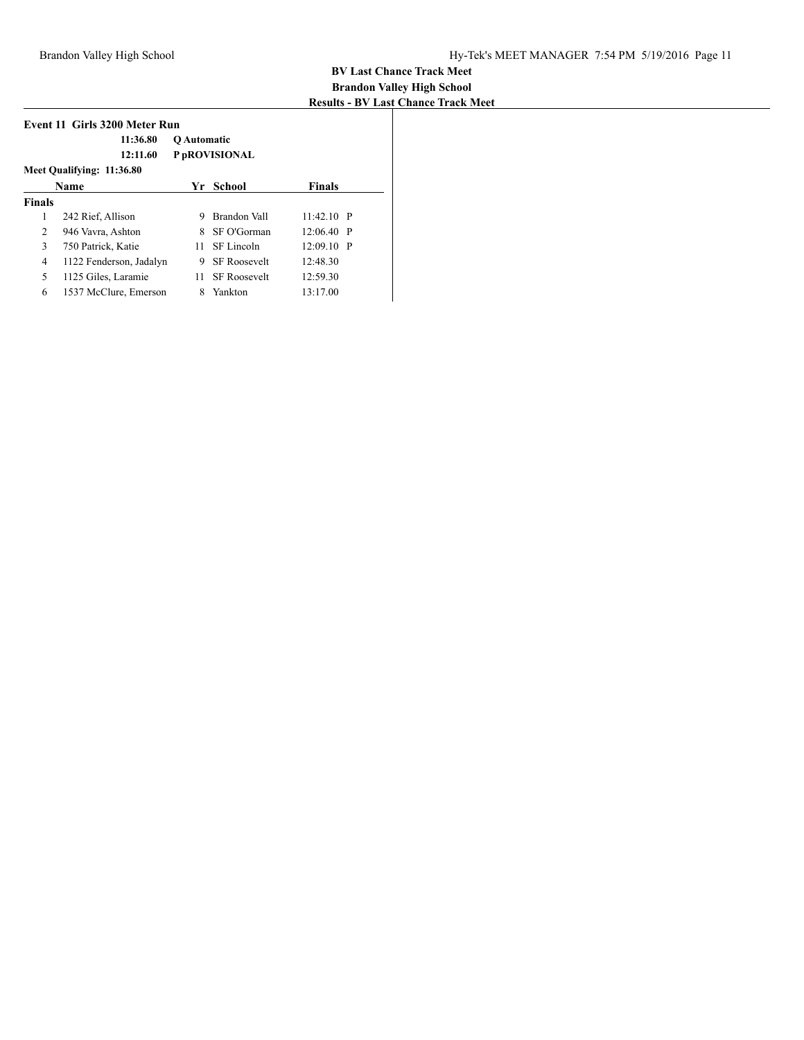| Event 11 Girls 3200 Meter Run |                           |             |                     |               |  |  |  |
|-------------------------------|---------------------------|-------------|---------------------|---------------|--|--|--|
|                               | 11:36.80                  | Q Automatic |                     |               |  |  |  |
|                               | 12:11.60                  |             | P pROVISIONAL       |               |  |  |  |
|                               | Meet Qualifying: 11:36.80 |             |                     |               |  |  |  |
|                               | <b>Name</b>               | Yr          | School              | <b>Finals</b> |  |  |  |
| <b>Finals</b>                 |                           |             |                     |               |  |  |  |
| 1                             | 242 Rief, Allison         | 9           | Brandon Vall        | $11:42.10$ P  |  |  |  |
| 2                             | 946 Vavra, Ashton         | 8           | SF O'Gorman         | $12:06.40$ P  |  |  |  |
| 3                             | 750 Patrick, Katie        | 11          | SF Lincoln          | $12:09.10$ P  |  |  |  |
| $\overline{4}$                | 1122 Fenderson, Jadalyn   | 9           | <b>SF Roosevelt</b> | 12:48.30      |  |  |  |
| 5                             | 1125 Giles, Laramie       | 11.         | <b>SF Roosevelt</b> | 12:59.30      |  |  |  |
| 6                             | 1537 McClure, Emerson     | 8           | Yankton             | 13:17.00      |  |  |  |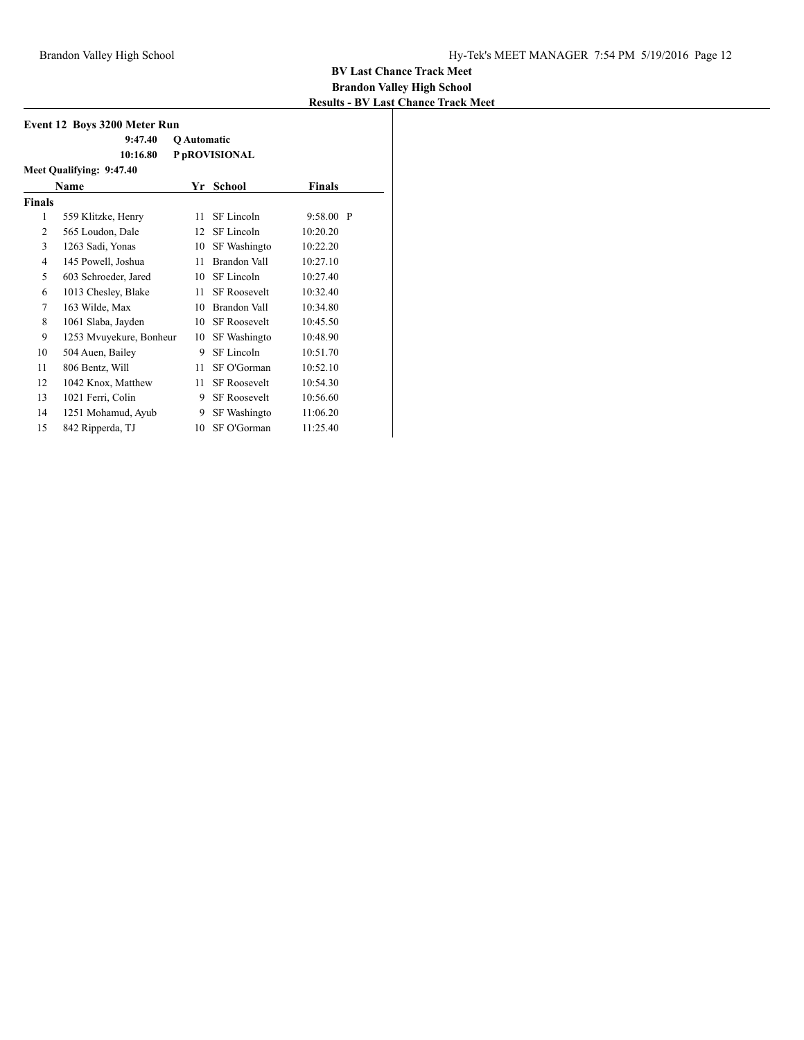| Event 12 Boys 3200 Meter Run |                          |             |                     |               |  |  |  |  |  |
|------------------------------|--------------------------|-------------|---------------------|---------------|--|--|--|--|--|
|                              | 9:47.40                  | Q Automatic |                     |               |  |  |  |  |  |
|                              | 10:16.80                 |             | P pROVISIONAL       |               |  |  |  |  |  |
|                              | Meet Qualifying: 9:47.40 |             |                     |               |  |  |  |  |  |
|                              | <b>Name</b>              | Yr          | School              | <b>Finals</b> |  |  |  |  |  |
| <b>Finals</b>                |                          |             |                     |               |  |  |  |  |  |
| 1                            | 559 Klitzke, Henry       | 11          | SF Lincoln          | $9:58.00$ P   |  |  |  |  |  |
| 2                            | 565 Loudon, Dale         | 12          | SF Lincoln          | 10:20.20      |  |  |  |  |  |
| 3                            | 1263 Sadi, Yonas         | 10          | SF Washingto        | 10:22.20      |  |  |  |  |  |
| 4                            | 145 Powell, Joshua       | 11          | Brandon Vall        | 10:27.10      |  |  |  |  |  |
| 5                            | 603 Schroeder, Jared     | 10          | SF Lincoln          | 10:27.40      |  |  |  |  |  |
| 6                            | 1013 Chesley, Blake      | 11          | <b>SF Roosevelt</b> | 10:32.40      |  |  |  |  |  |
| 7                            | 163 Wilde, Max           | 10          | Brandon Vall        | 10:34.80      |  |  |  |  |  |
| 8                            | 1061 Slaba, Jayden       | 10          | <b>SF Roosevelt</b> | 10:45.50      |  |  |  |  |  |
| 9                            | 1253 Mvuyekure, Bonheur  | 10          | SF Washingto        | 10:48.90      |  |  |  |  |  |
| 10                           | 504 Auen, Bailey         | 9           | SF Lincoln          | 10:51.70      |  |  |  |  |  |
| 11                           | 806 Bentz, Will          | 11          | SF O'Gorman         | 10:52.10      |  |  |  |  |  |
| 12                           | 1042 Knox, Matthew       | 11          | <b>SF Roosevelt</b> | 10:54.30      |  |  |  |  |  |
| 13                           | 1021 Ferri, Colin        | 9           | <b>SF Roosevelt</b> | 10:56.60      |  |  |  |  |  |
| 14                           | 1251 Mohamud, Ayub       | 9           | SF Washingto        | 11:06.20      |  |  |  |  |  |
| 15                           | 842 Ripperda, TJ         | 10          | SF O'Gorman         | 11:25.40      |  |  |  |  |  |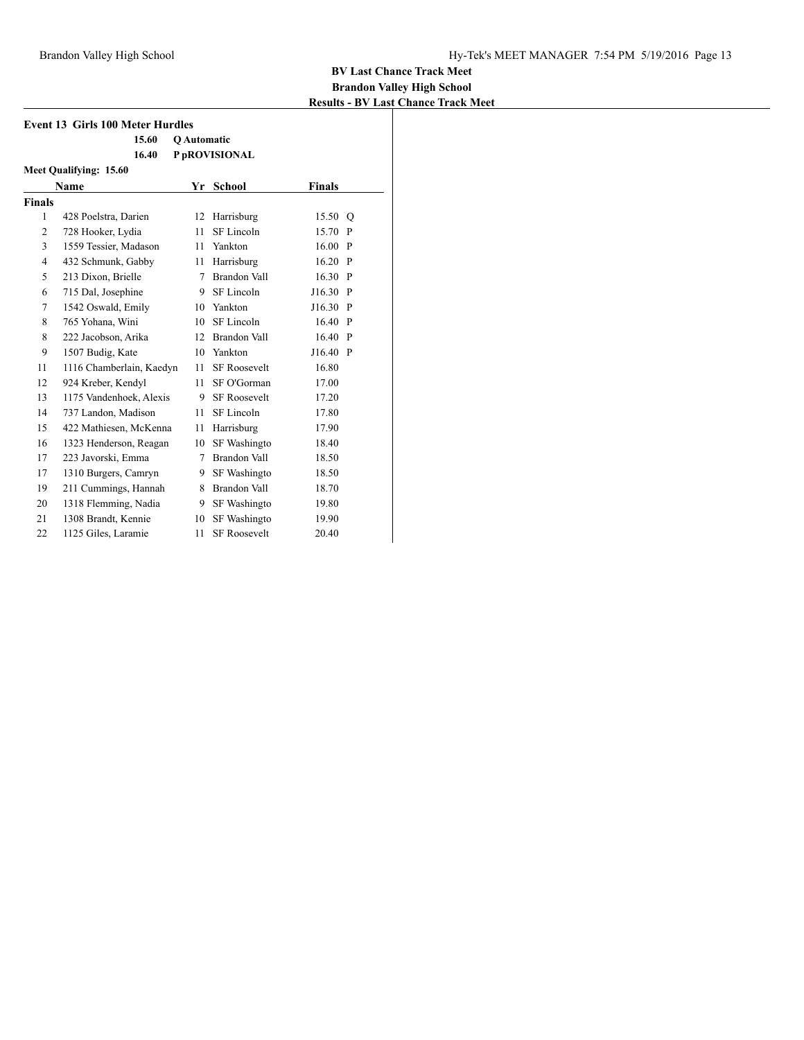| <b>Event 13 Girls 100 Meter Hurdles</b> |                          |                    |                     |               |              |  |  |
|-----------------------------------------|--------------------------|--------------------|---------------------|---------------|--------------|--|--|
|                                         | 15.60                    | <b>O</b> Automatic |                     |               |              |  |  |
|                                         | 16.40                    |                    | P pROVISIONAL       |               |              |  |  |
| Meet Qualifying: 15.60                  |                          |                    |                     |               |              |  |  |
|                                         | Name                     | Yr                 | <b>School</b>       | <b>Finals</b> |              |  |  |
| <b>Finals</b>                           |                          |                    |                     |               |              |  |  |
| $\mathbf{1}$                            | 428 Poelstra, Darien     |                    | 12 Harrisburg       | 15.50         | $\circ$      |  |  |
| 2                                       | 728 Hooker, Lydia        | 11                 | SF Lincoln          | 15.70         | P            |  |  |
| 3                                       | 1559 Tessier, Madason    | 11                 | Yankton             | 16.00         | $\mathbf{P}$ |  |  |
| $\overline{4}$                          | 432 Schmunk, Gabby       | 11                 | Harrisburg          | 16.20         | $\mathbf{P}$ |  |  |
| 5                                       | 213 Dixon, Brielle       | 7                  | <b>Brandon Vall</b> | 16.30         | $\mathbf{P}$ |  |  |
| 6                                       | 715 Dal, Josephine       | 9.                 | SF Lincoln          | J16.30 P      |              |  |  |
| 7                                       | 1542 Oswald, Emily       | 10                 | Yankton             | J16.30        | $\mathbf{P}$ |  |  |
| 8                                       | 765 Yohana, Wini         | 10                 | SF Lincoln          | 16.40         | $\mathbf{P}$ |  |  |
| 8                                       | 222 Jacobson, Arika      | 12                 | Brandon Vall        | 16.40 P       |              |  |  |
| 9                                       | 1507 Budig, Kate         | 10                 | Yankton             | J16.40        | $\mathbf{P}$ |  |  |
| 11                                      | 1116 Chamberlain, Kaedyn | 11 -               | <b>SF Roosevelt</b> | 16.80         |              |  |  |
| 12                                      | 924 Kreber, Kendyl       | 11                 | SF O'Gorman         | 17.00         |              |  |  |
| 13                                      | 1175 Vandenhoek, Alexis  | 9                  | <b>SF Roosevelt</b> | 17.20         |              |  |  |
| 14                                      | 737 Landon, Madison      | 11                 | SF Lincoln          | 17.80         |              |  |  |
| 15                                      | 422 Mathiesen, McKenna   | 11                 | Harrisburg          | 17.90         |              |  |  |
| 16                                      | 1323 Henderson, Reagan   | 10                 | SF Washingto        | 18.40         |              |  |  |
| 17                                      | 223 Javorski, Emma       | 7                  | Brandon Vall        | 18.50         |              |  |  |
| 17                                      | 1310 Burgers, Camryn     | 9                  | SF Washingto        | 18.50         |              |  |  |
| 19                                      | 211 Cummings, Hannah     | 8                  | Brandon Vall        | 18.70         |              |  |  |
| 20                                      | 1318 Flemming, Nadia     | 9.                 | SF Washingto        | 19.80         |              |  |  |
| 21                                      | 1308 Brandt, Kennie      | 10                 | SF Washingto        | 19.90         |              |  |  |
| 22                                      | 1125 Giles, Laramie      | 11                 | <b>SF Roosevelt</b> | 20.40         |              |  |  |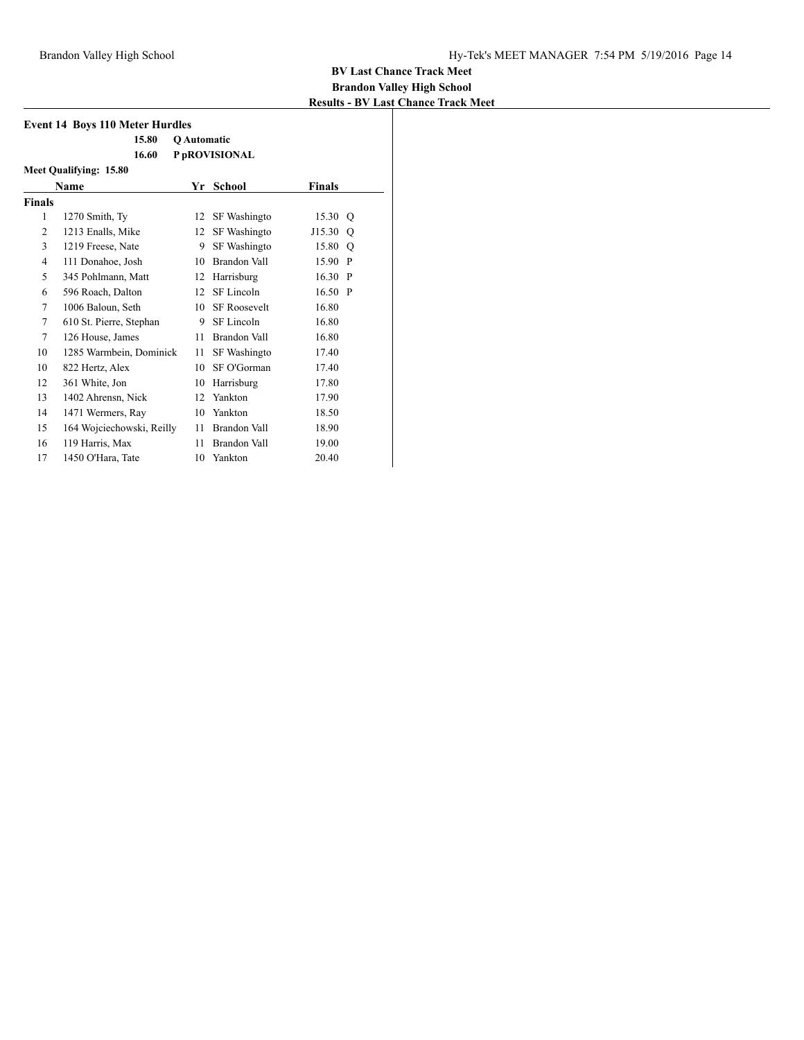| <b>Event 14 Boys 110 Meter Hurdles</b> |                           |                    |                     |               |              |  |  |
|----------------------------------------|---------------------------|--------------------|---------------------|---------------|--------------|--|--|
|                                        | 15.80                     | <b>O</b> Automatic |                     |               |              |  |  |
|                                        | 16.60                     |                    | P pROVISIONAL       |               |              |  |  |
| Meet Qualifying: 15.80                 |                           |                    |                     |               |              |  |  |
|                                        | Name                      | Yr                 | School              | <b>Finals</b> |              |  |  |
| <b>Finals</b>                          |                           |                    |                     |               |              |  |  |
| 1                                      | 1270 Smith, Ty            | 12                 | SF Washingto        | 15.30         | O            |  |  |
| 2                                      | 1213 Enalls, Mike         | 12                 | SF Washingto        | J15.30        | $\circ$      |  |  |
| 3                                      | 1219 Freese, Nate         | 9                  | SF Washingto        | 15.80         | $\circ$      |  |  |
| 4                                      | 111 Donahoe, Josh         | 10                 | Brandon Vall        | 15.90 P       |              |  |  |
| 5                                      | 345 Pohlmann, Matt        | 12                 | Harrisburg          | 16.30         | $\mathbf{P}$ |  |  |
| 6                                      | 596 Roach, Dalton         | 12                 | SF Lincoln          | 16.50 P       |              |  |  |
| 7                                      | 1006 Baloun, Seth         | 10                 | <b>SF Roosevelt</b> | 16.80         |              |  |  |
| 7                                      | 610 St. Pierre, Stephan   | 9                  | SF Lincoln          | 16.80         |              |  |  |
| 7                                      | 126 House, James          | 11                 | Brandon Vall        | 16.80         |              |  |  |
| 10                                     | 1285 Warmbein, Dominick   | 11                 | SF Washingto        | 17.40         |              |  |  |
| 10                                     | 822 Hertz, Alex           | 10                 | SF O'Gorman         | 17.40         |              |  |  |
| 12                                     | 361 White, Jon            | 10                 | Harrisburg          | 17.80         |              |  |  |
| 13                                     | 1402 Ahrensn, Nick        | 12                 | Yankton             | 17.90         |              |  |  |
| 14                                     | 1471 Wermers, Ray         | 10                 | Yankton             | 18.50         |              |  |  |
| 15                                     | 164 Wojciechowski, Reilly | 11                 | Brandon Vall        | 18.90         |              |  |  |
| 16                                     | 119 Harris, Max           | 11                 | Brandon Vall        | 19.00         |              |  |  |
| 17                                     | 1450 O'Hara, Tate         | 10                 | Yankton             | 20.40         |              |  |  |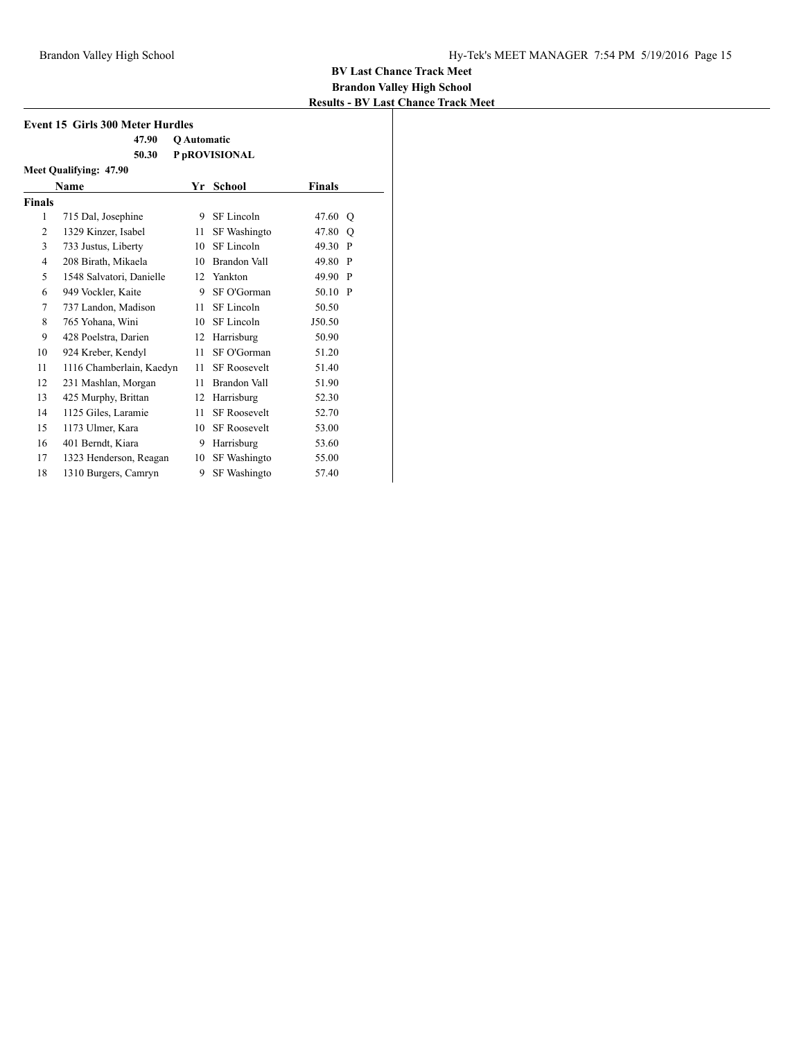| <b>Event 15 Girls 300 Meter Hurdles</b> |                          |                    |                     |               |              |
|-----------------------------------------|--------------------------|--------------------|---------------------|---------------|--------------|
|                                         | 47.90                    | <b>O</b> Automatic |                     |               |              |
|                                         | 50.30                    |                    | P pROVISIONAL       |               |              |
|                                         | Meet Qualifying: 47.90   |                    |                     |               |              |
|                                         | Name                     | Yr                 | <b>School</b>       | <b>Finals</b> |              |
| <b>Finals</b>                           |                          |                    |                     |               |              |
| 1                                       | 715 Dal, Josephine       | 9                  | SF Lincoln          | 47.60         | O            |
| $\overline{2}$                          | 1329 Kinzer, Isabel      | 11                 | SF Washingto        | 47.80         | O            |
| 3                                       | 733 Justus, Liberty      | 10                 | SF Lincoln          | 49.30         | $\mathbf{P}$ |
| $\overline{4}$                          | 208 Birath, Mikaela      | 10                 | <b>Brandon Vall</b> | 49.80         | $\mathbf{P}$ |
| 5                                       | 1548 Salvatori, Danielle | 12                 | Yankton             | 49.90 P       |              |
| 6                                       | 949 Vockler, Kaite       | 9                  | SF O'Gorman         | 50.10 P       |              |
| 7                                       | 737 Landon, Madison      | 11                 | SF Lincoln          | 50.50         |              |
| 8                                       | 765 Yohana, Wini         | 10                 | SF Lincoln          | J50.50        |              |
| 9                                       | 428 Poelstra, Darien     | 12                 | Harrisburg          | 50.90         |              |
| 10                                      | 924 Kreber, Kendyl       | 11                 | SF O'Gorman         | 51.20         |              |
| 11                                      | 1116 Chamberlain, Kaedyn | 11                 | <b>SF Roosevelt</b> | 51.40         |              |
| 12                                      | 231 Mashlan, Morgan      | 11                 | Brandon Vall        | 51.90         |              |
| 13                                      | 425 Murphy, Brittan      | 12                 | Harrisburg          | 52.30         |              |
| 14                                      | 1125 Giles, Laramie      | 11                 | <b>SF Roosevelt</b> | 52.70         |              |
| 15                                      | 1173 Ulmer, Kara         | 10                 | <b>SF Roosevelt</b> | 53.00         |              |
| 16                                      | 401 Berndt, Kiara        | 9                  | Harrisburg          | 53.60         |              |
| 17                                      | 1323 Henderson, Reagan   | 10                 | SF Washingto        | 55.00         |              |
| 18                                      | 1310 Burgers, Camryn     | 9                  | SF Washingto        | 57.40         |              |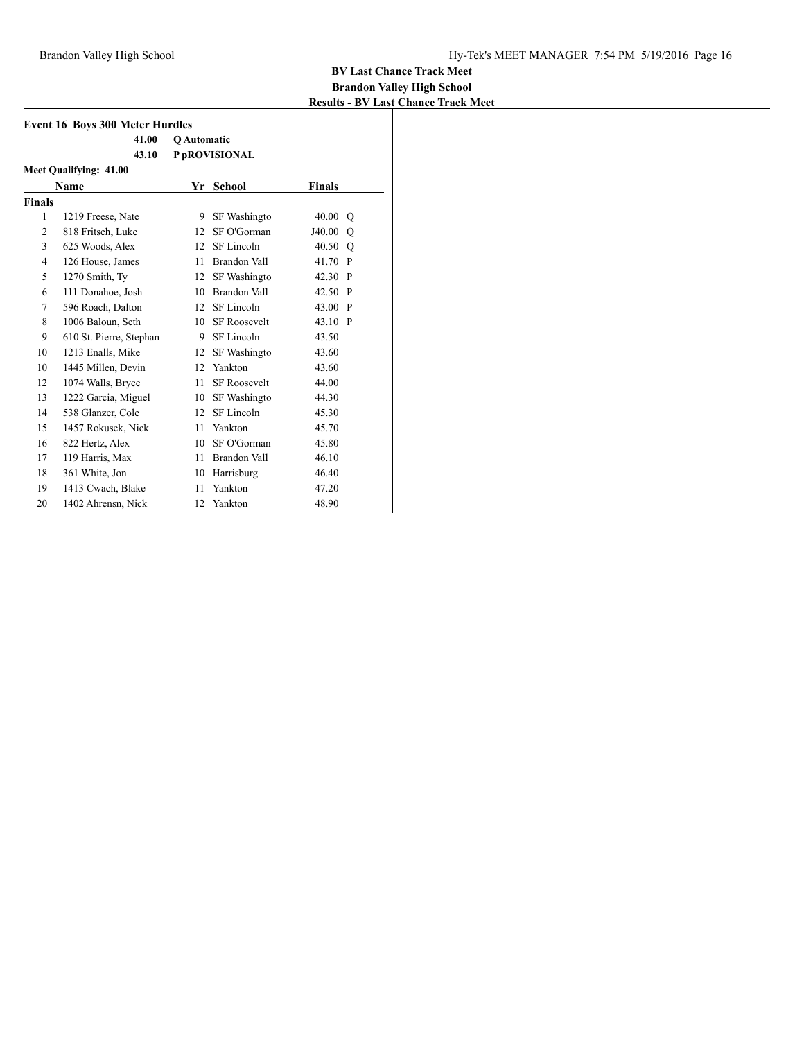| <b>Event 16 Boys 300 Meter Hurdles</b> |                         |                    |                     |               |         |
|----------------------------------------|-------------------------|--------------------|---------------------|---------------|---------|
|                                        | 41.00                   | <b>O</b> Automatic |                     |               |         |
|                                        | 43.10                   |                    | P pROVISIONAL       |               |         |
|                                        | Meet Qualifying: 41.00  |                    |                     |               |         |
|                                        | Name                    |                    | Yr School           | <b>Finals</b> |         |
| <b>Finals</b>                          |                         |                    |                     |               |         |
| 1                                      | 1219 Freese, Nate       | 9                  | SF Washingto        | 40.00 Q       |         |
| $\overline{2}$                         | 818 Fritsch, Luke       | 12                 | SF O'Gorman         | J40.00        | $\circ$ |
| 3                                      | 625 Woods, Alex         | 12                 | SF Lincoln          | 40.50 Q       |         |
| $\overline{4}$                         | 126 House, James        | 11                 | Brandon Vall        | 41.70 P       |         |
| 5                                      | 1270 Smith, Ty          | 12                 | SF Washingto        | 42.30 P       |         |
| 6                                      | 111 Donahoe, Josh       | 10                 | Brandon Vall        | 42.50 P       |         |
| 7                                      | 596 Roach, Dalton       | 12                 | SF Lincoln          | 43.00 P       |         |
| 8                                      | 1006 Baloun, Seth       | 10 <sup>1</sup>    | <b>SF Roosevelt</b> | 43.10 P       |         |
| 9                                      | 610 St. Pierre, Stephan | 9                  | SF Lincoln          | 43.50         |         |
| 10                                     | 1213 Enalls, Mike       | 12                 | SF Washingto        | 43.60         |         |
| 10                                     | 1445 Millen, Devin      | 12                 | Yankton             | 43.60         |         |
| 12                                     | 1074 Walls, Bryce       | 11                 | <b>SF</b> Roosevelt | 44.00         |         |
| 13                                     | 1222 Garcia, Miguel     | 10                 | <b>SF</b> Washingto | 44.30         |         |
| 14                                     | 538 Glanzer, Cole       | 12                 | SF Lincoln          | 45.30         |         |
| 15                                     | 1457 Rokusek, Nick      | 11                 | Yankton             | 45.70         |         |
| 16                                     | 822 Hertz, Alex         | 10                 | SF O'Gorman         | 45.80         |         |
| 17                                     | 119 Harris, Max         | 11                 | Brandon Vall        | 46.10         |         |
| 18                                     | 361 White, Jon          | 10                 | Harrisburg          | 46.40         |         |
| 19                                     | 1413 Cwach, Blake       | 11                 | Yankton             | 47.20         |         |
| 20                                     | 1402 Ahrensn, Nick      | 12                 | Yankton             | 48.90         |         |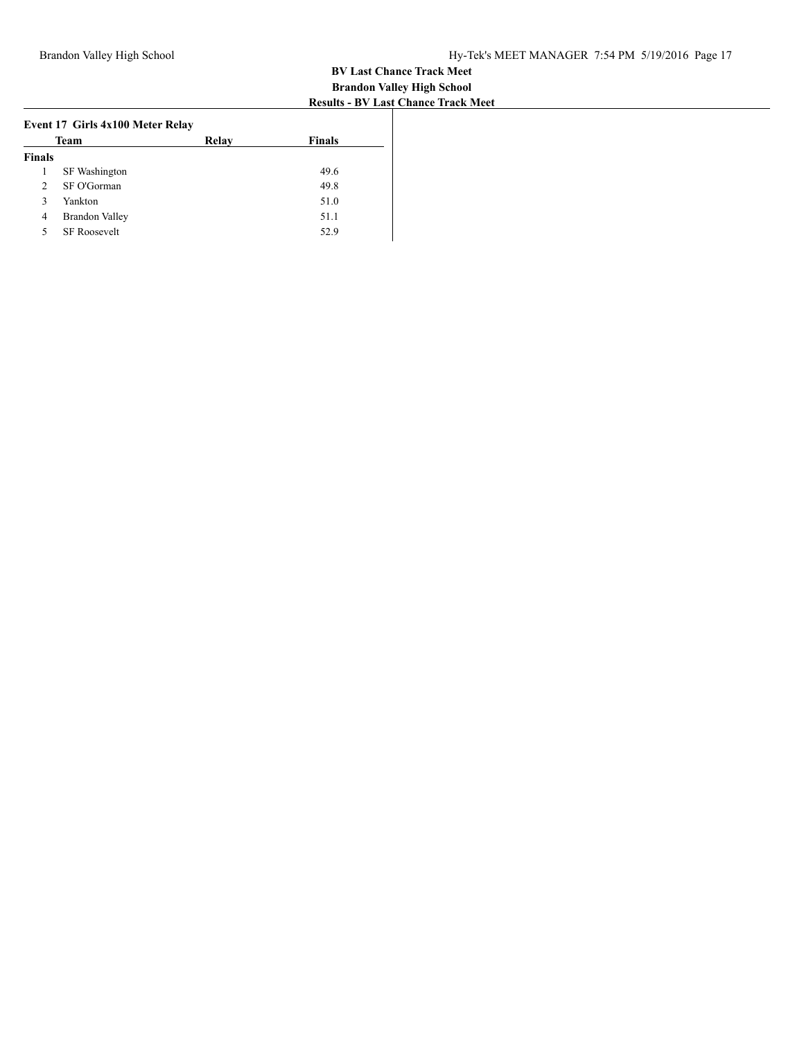| Relay | <b>Finals</b> |
|-------|---------------|
|       |               |
|       | 49.6          |
|       | 49.8          |
|       | 51.0          |
|       | 51.1          |
|       | 52.9          |
|       |               |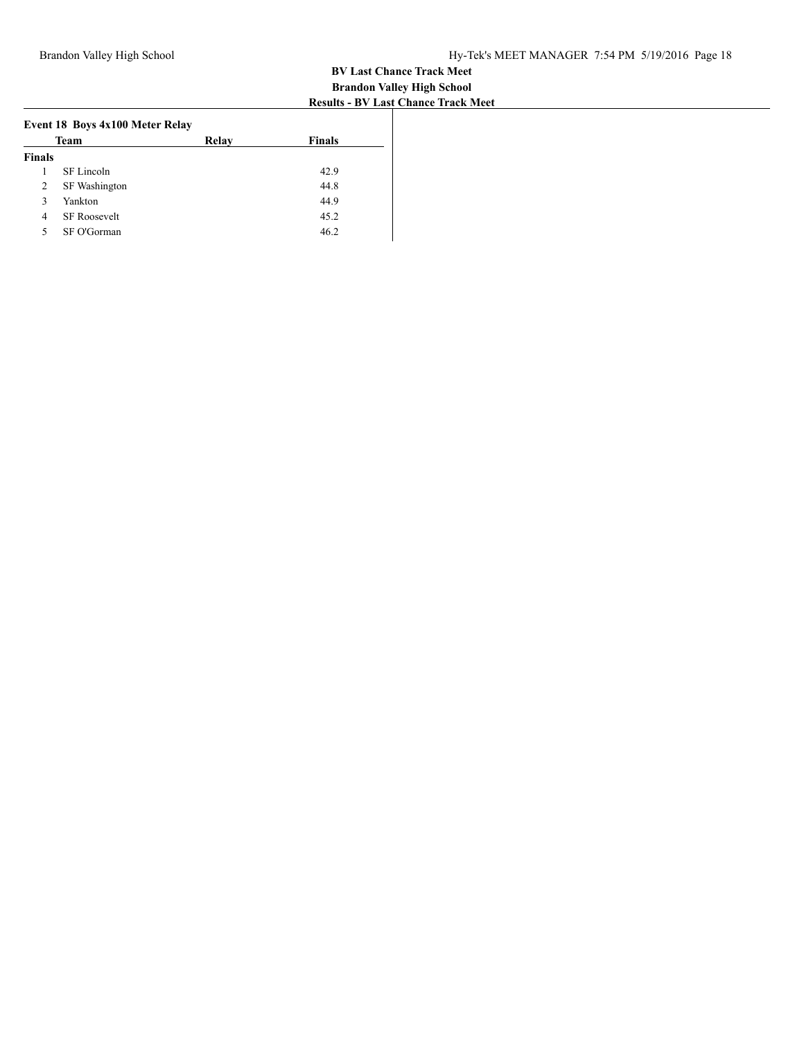| Team          |                     | Relay | <b>Finals</b> |
|---------------|---------------------|-------|---------------|
| <b>Finals</b> |                     |       |               |
|               | SF Lincoln          |       | 42.9          |
| 2             | SF Washington       |       | 44.8          |
| 3             | Yankton             |       | 44.9          |
| 4             | <b>SF Roosevelt</b> |       | 45.2          |
| 5             | SF O'Gorman         |       | 46.2          |
|               |                     |       |               |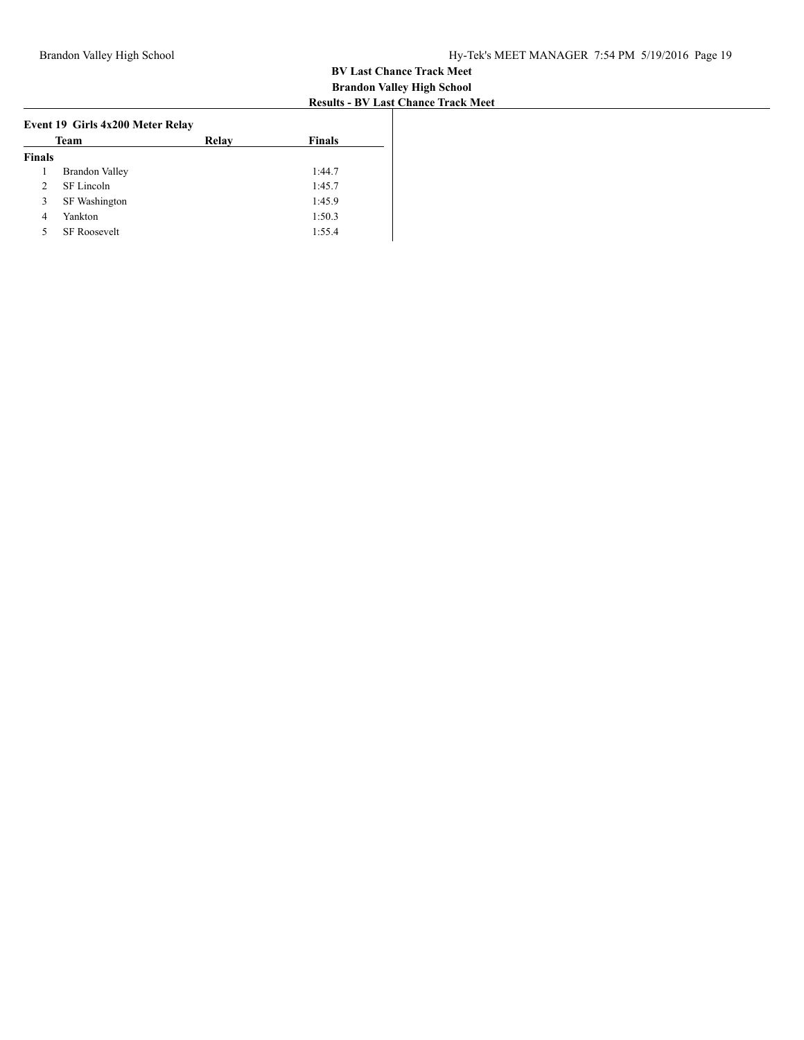| Team                         | Relav | <b>Finals</b> |
|------------------------------|-------|---------------|
| <b>Finals</b>                |       |               |
| <b>Brandon Valley</b><br>1   |       | 1:44.7        |
| SF Lincoln<br>$\mathfrak{D}$ |       | 1:45.7        |
| <b>SF</b> Washington<br>3    |       | 1:45.9        |
| Yankton<br>$\overline{4}$    |       | 1:50.3        |
| <b>SF Roosevelt</b><br>5     |       | 1:55.4        |
|                              |       |               |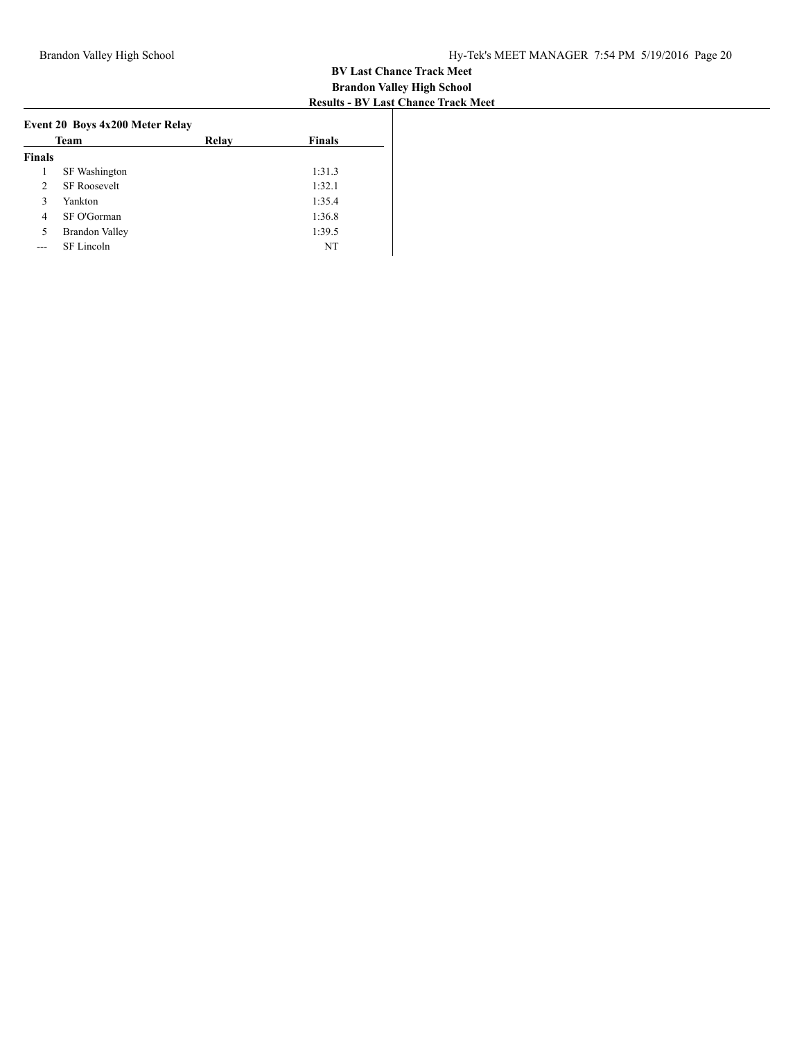| Team           |                       | Relav | <b>Finals</b> |
|----------------|-----------------------|-------|---------------|
| <b>Finals</b>  |                       |       |               |
| 1              | SF Washington         |       | 1:31.3        |
| $\mathfrak{D}$ | <b>SF Roosevelt</b>   |       | 1:32.1        |
| 3              | Yankton               |       | 1:35.4        |
| 4              | SF O'Gorman           |       | 1:36.8        |
| 5              | <b>Brandon Valley</b> |       | 1:39.5        |
|                | SF Lincoln            |       | NT            |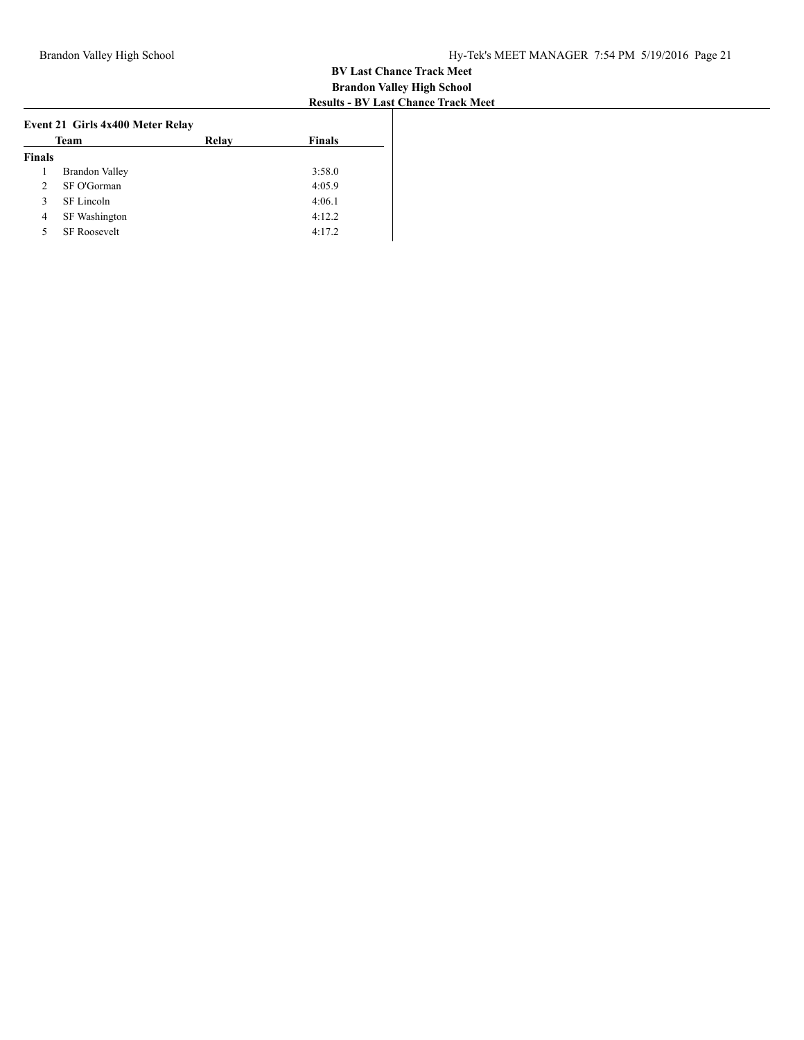| Team          |                       | Relav | <b>Finals</b> |
|---------------|-----------------------|-------|---------------|
| <b>Finals</b> |                       |       |               |
| 1             | <b>Brandon Valley</b> |       | 3:58.0        |
| 2             | SF O'Gorman           |       | 4:05.9        |
| 3             | SF Lincoln            |       | 4:06.1        |
| 4             | SF Washington         |       | 4:12.2        |
| 5             | <b>SF Roosevelt</b>   |       | 4:17.2        |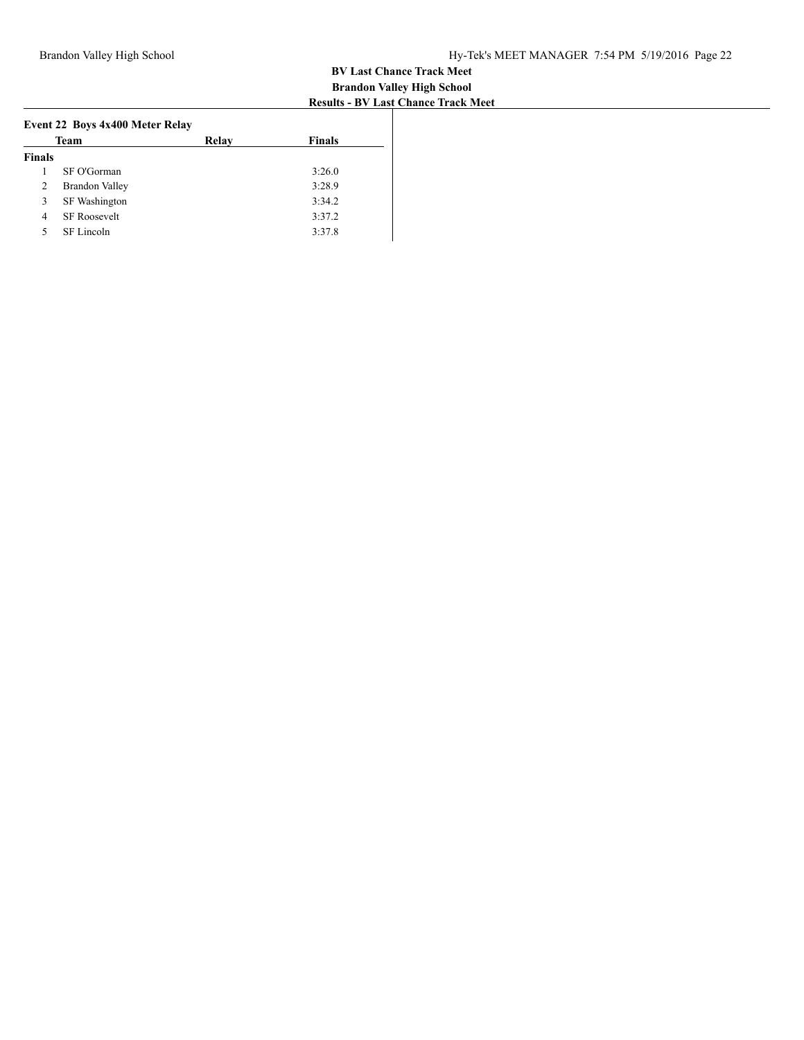|               | Team                  | Relay | <b>Finals</b> |
|---------------|-----------------------|-------|---------------|
| <b>Finals</b> |                       |       |               |
|               | SF O'Gorman           |       | 3:26.0        |
| 2             | <b>Brandon Valley</b> |       | 3:28.9        |
| 3             | SF Washington         |       | 3:34.2        |
| 4             | <b>SF Roosevelt</b>   |       | 3:37.2        |
| 5             | SF Lincoln            |       | 3:37.8        |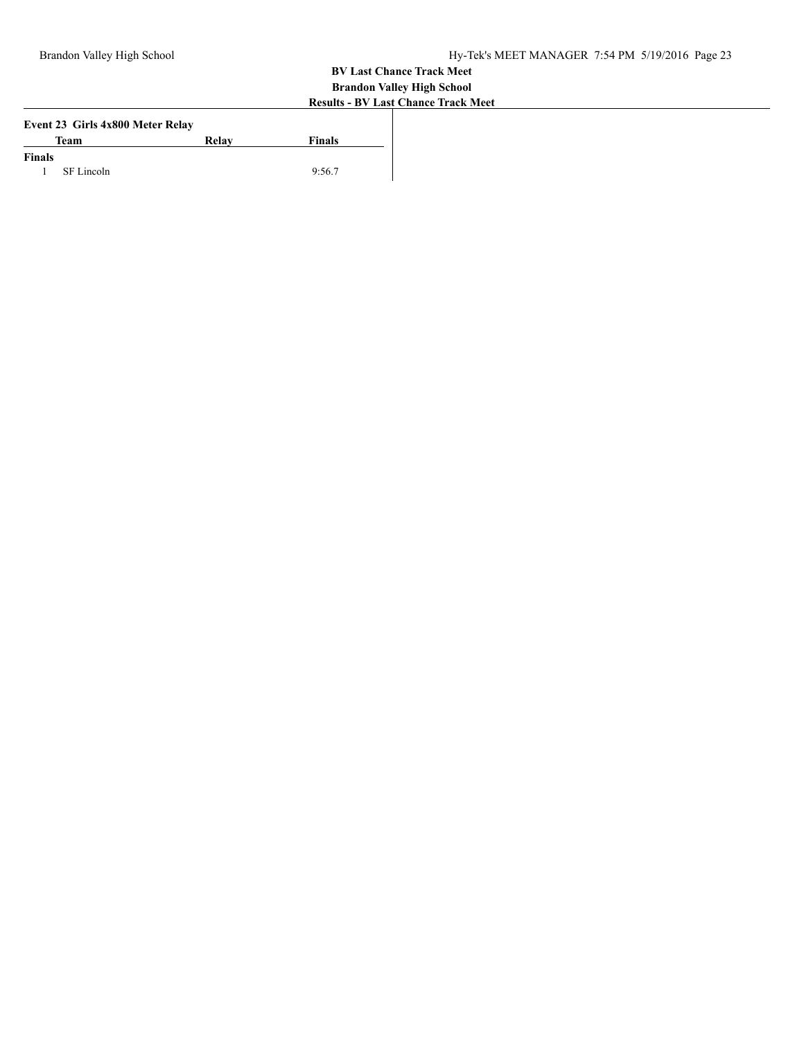|               | Event 23 Girls 4x800 Meter Relay |       |        |
|---------------|----------------------------------|-------|--------|
|               | Team                             | Relay | Finals |
| <b>Finals</b> |                                  |       |        |
| 1             | SF Lincoln                       |       | 9:56.7 |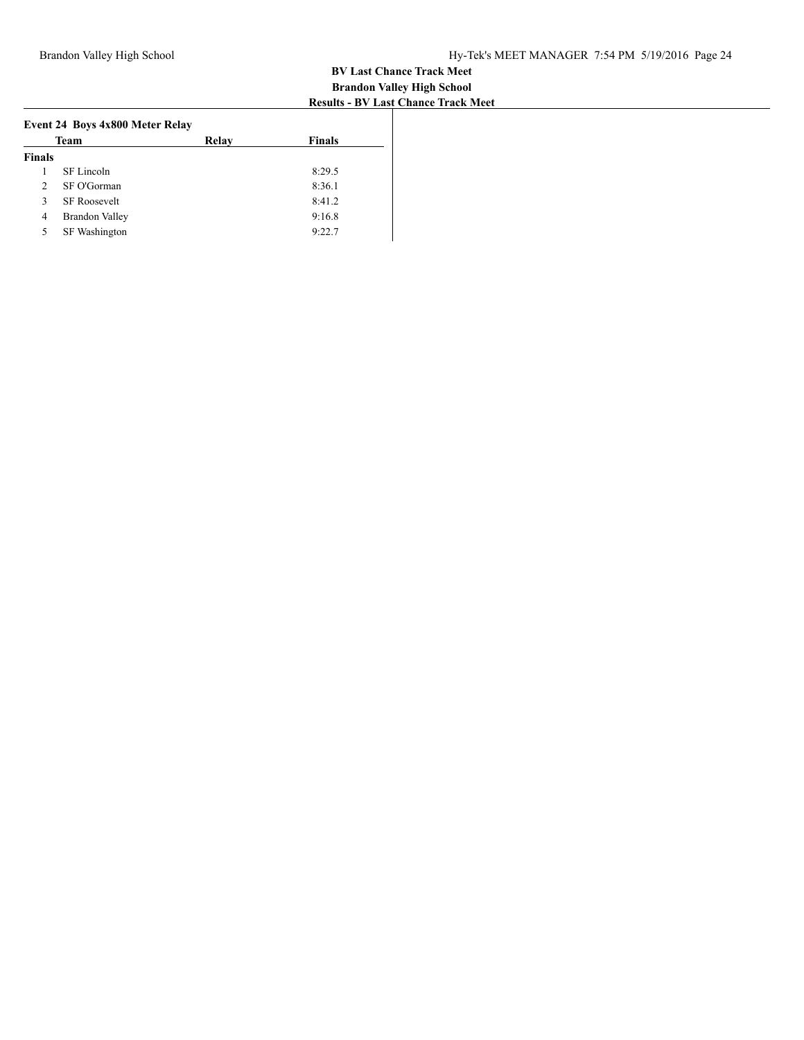|               | Event 24 Boys 4x800 Meter Relay |       |               |
|---------------|---------------------------------|-------|---------------|
|               | Team                            | Relay | <b>Finals</b> |
| <b>Finals</b> |                                 |       |               |
|               | SF Lincoln                      |       | 8:29.5        |
| $\mathcal{L}$ | SF O'Gorman                     |       | 8:36.1        |
| 3             | <b>SF Roosevelt</b>             |       | 8:41.2        |
| 4             | <b>Brandon Valley</b>           |       | 9:16.8        |
| 5             | SF Washington                   |       | 9:22.7        |
|               |                                 |       |               |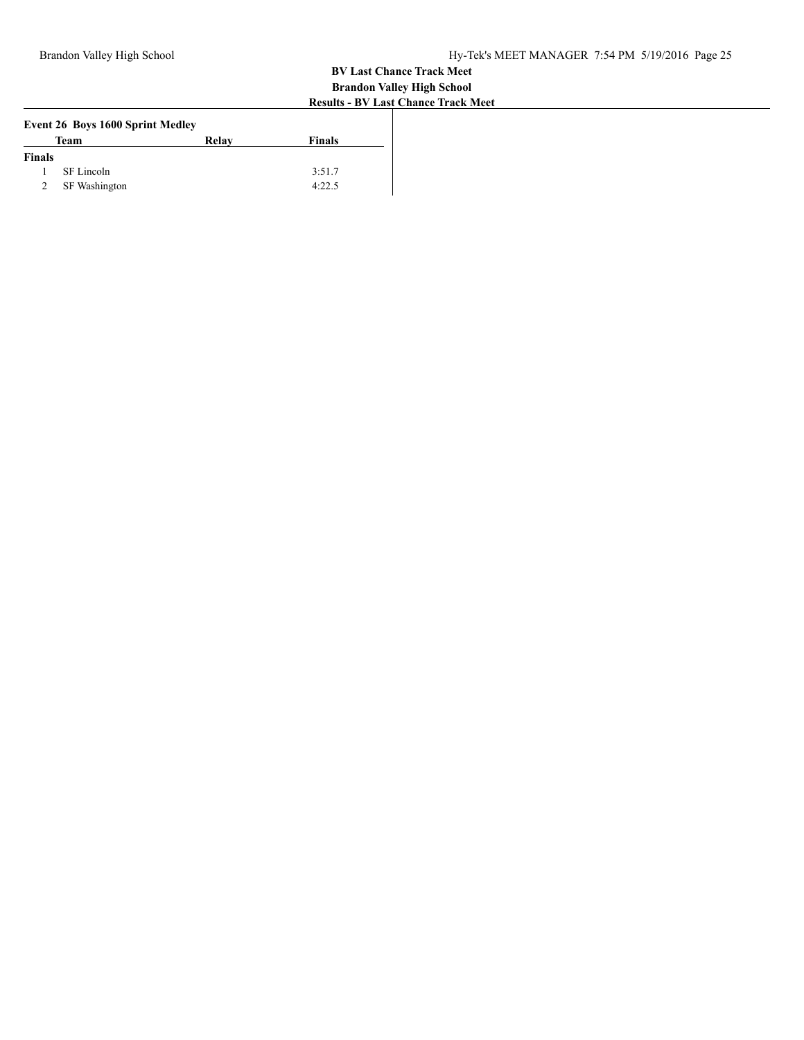| <b>Event 26 Boys 1600 Sprint Medley</b> |               |       |        |  |  |  |  |
|-----------------------------------------|---------------|-------|--------|--|--|--|--|
|                                         | Team          | Relay | Finals |  |  |  |  |
| <b>Finals</b>                           |               |       |        |  |  |  |  |
|                                         | SF Lincoln    |       | 3:51.7 |  |  |  |  |
| 2                                       | SF Washington |       | 4:22.5 |  |  |  |  |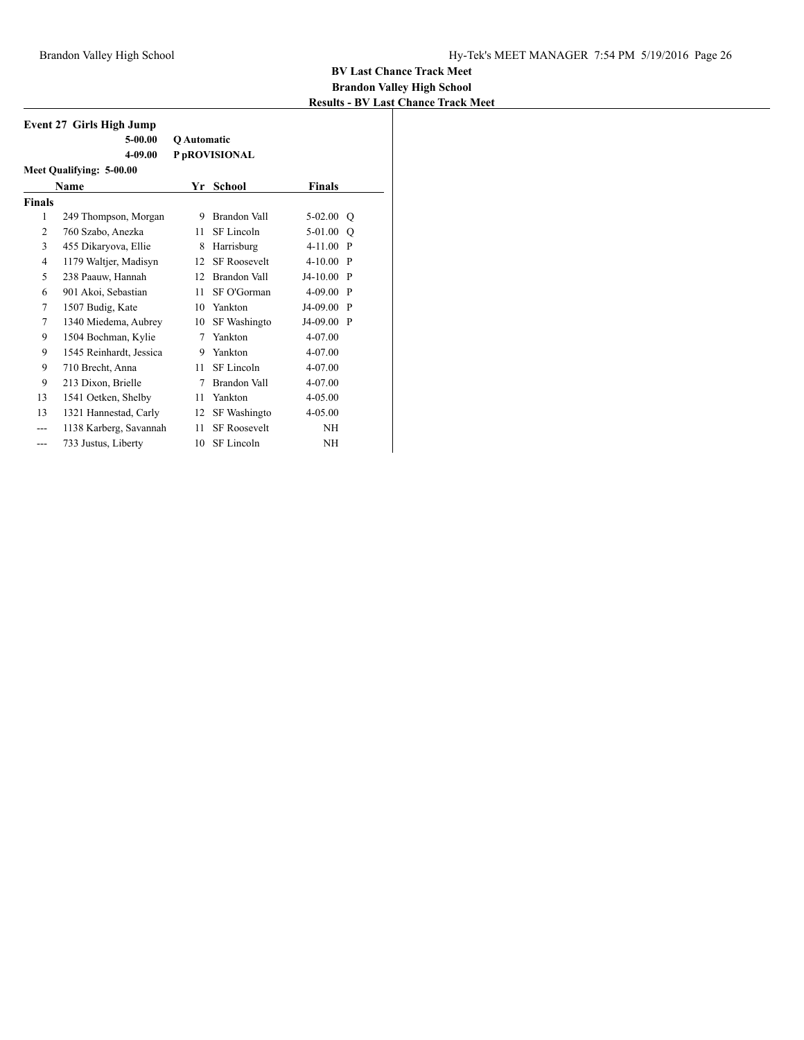| <b>Event 27 Girls High Jump</b> |                          |             |                     |               |         |  |  |
|---------------------------------|--------------------------|-------------|---------------------|---------------|---------|--|--|
|                                 | $5-00.00$                | Q Automatic |                     |               |         |  |  |
|                                 | 4-09.00                  |             | P pROVISIONAL       |               |         |  |  |
|                                 | Meet Qualifying: 5-00.00 |             |                     |               |         |  |  |
|                                 | Name                     | Yr          | School              | <b>Finals</b> |         |  |  |
| <b>Finals</b>                   |                          |             |                     |               |         |  |  |
| 1                               | 249 Thompson, Morgan     | 9           | Brandon Vall        | $5-02.00$     | O       |  |  |
| $\overline{c}$                  | 760 Szabo, Anezka        | 11          | SF Lincoln          | 5-01.00       | $\circ$ |  |  |
| 3                               | 455 Dikaryova, Ellie     | 8           | Harrisburg          | $4 - 11.00$   | - P     |  |  |
| $\overline{4}$                  | 1179 Waltjer, Madisyn    | 12          | <b>SF Roosevelt</b> | $4 - 10.00$   | - P     |  |  |
| 5                               | 238 Paauw, Hannah        | 12          | Brandon Vall        | $J4-10.00$    | P       |  |  |
| 6                               | 901 Akoi, Sebastian      | 11          | SF O'Gorman         | $4 - 09.00$   | - P     |  |  |
| 7                               | 1507 Budig, Kate         | 10          | Yankton             | J4-09.00      | P       |  |  |
| 7                               | 1340 Miedema, Aubrey     | 10          | SF Washingto        | J4-09.00      | P       |  |  |
| 9                               | 1504 Bochman, Kylie      | 7           | Yankton             | 4-07.00       |         |  |  |
| 9                               | 1545 Reinhardt, Jessica  | 9           | Yankton             | $4 - 07.00$   |         |  |  |
| 9                               | 710 Brecht, Anna         | 11          | SF Lincoln          | 4-07.00       |         |  |  |
| 9                               | 213 Dixon, Brielle       | 7           | Brandon Vall        | 4-07.00       |         |  |  |
| 13                              | 1541 Oetken, Shelby      | 11          | Yankton             | 4-05.00       |         |  |  |
| 13                              | 1321 Hannestad, Carly    | 12          | SF Washingto        | $4 - 05.00$   |         |  |  |
| ---                             | 1138 Karberg, Savannah   | 11          | <b>SF Roosevelt</b> | <b>NH</b>     |         |  |  |
| ---                             | 733 Justus, Liberty      | 10          | SF Lincoln          | <b>NH</b>     |         |  |  |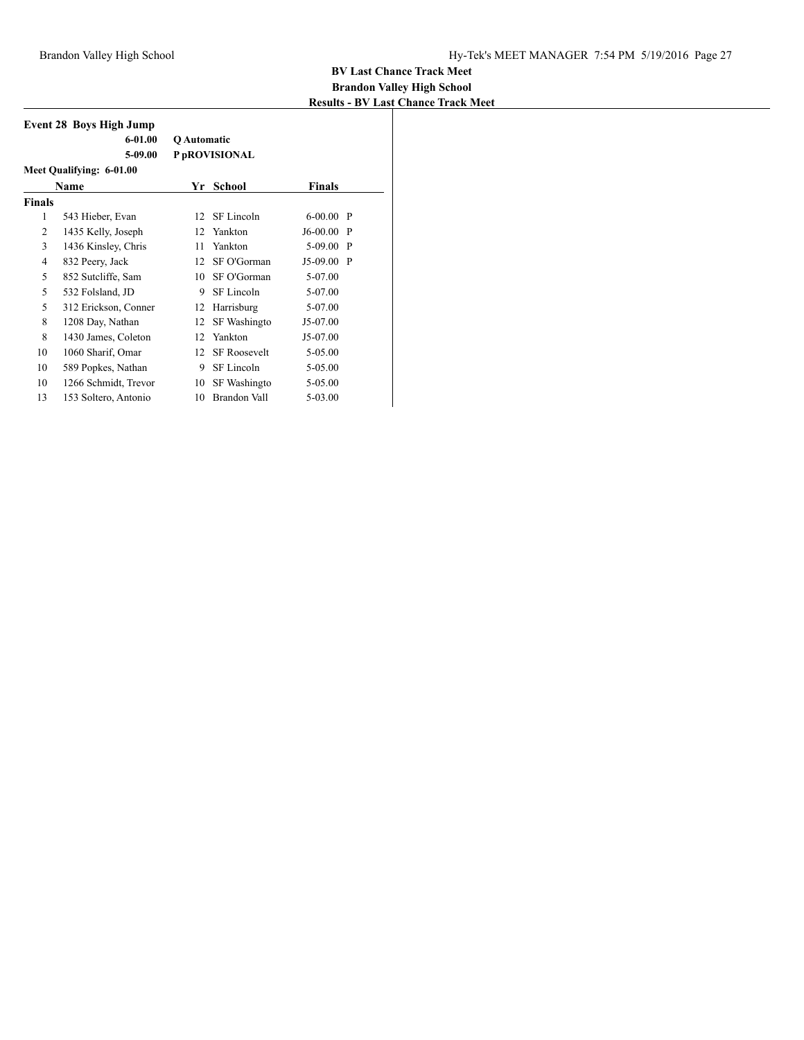|               | <b>Event 28 Boys High Jump</b> |                    |                     |              |              |
|---------------|--------------------------------|--------------------|---------------------|--------------|--------------|
|               | $6 - 01.00$                    | <b>O</b> Automatic |                     |              |              |
|               | 5-09.00                        |                    | P pROVISIONAL       |              |              |
|               | Meet Qualifying: 6-01.00       |                    |                     |              |              |
|               | Name                           | Yr                 | School              | Finals       |              |
| <b>Finals</b> |                                |                    |                     |              |              |
| 1             | 543 Hieber, Evan               | 12                 | SF Lincoln          | $6 - 00.00$  | $\mathbf{P}$ |
| 2             | 1435 Kelly, Joseph             | 12                 | Yankton             | J6-00.00     | -P           |
| 3             | 1436 Kinsley, Chris            | 11                 | Yankton             | 5-09.00      | $\mathbf{P}$ |
| 4             | 832 Peery, Jack                | 12                 | SF O'Gorman         | $J5-09.00 P$ |              |
| 5             | 852 Sutcliffe, Sam             | 10                 | SF O'Gorman         | 5-07.00      |              |
| 5             | 532 Folsland, JD               | 9                  | SF Lincoln          | 5-07.00      |              |
| 5             | 312 Erickson, Conner           | 12                 | Harrisburg          | 5-07.00      |              |
| 8             | 1208 Day, Nathan               | 12                 | SF Washingto        | J5-07.00     |              |
| 8             | 1430 James, Coleton            | 12                 | Yankton             | J5-07.00     |              |
| 10            | 1060 Sharif, Omar              | 12                 | <b>SF Roosevelt</b> | 5-05.00      |              |
| 10            | 589 Popkes, Nathan             | 9                  | SF Lincoln          | 5-05.00      |              |
| 10            | 1266 Schmidt, Trevor           | 10                 | SF Washingto        | 5-05.00      |              |
| 13            | 153 Soltero, Antonio           | 10                 | Brandon Vall        | 5-03.00      |              |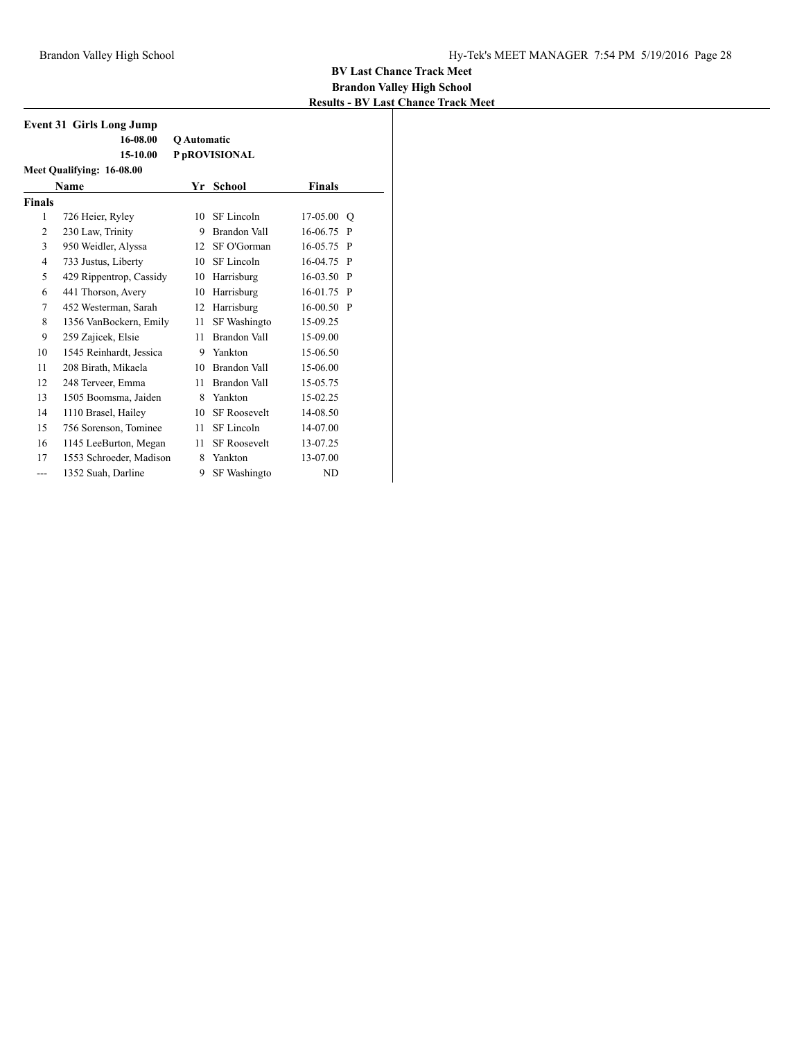|                | <b>Event 31 Girls Long Jump</b> |                    |                     |               |              |  |  |  |
|----------------|---------------------------------|--------------------|---------------------|---------------|--------------|--|--|--|
|                | 16-08.00                        | <b>O</b> Automatic |                     |               |              |  |  |  |
|                | 15-10.00                        |                    | P pROVISIONAL       |               |              |  |  |  |
|                | Meet Qualifying: 16-08.00       |                    |                     |               |              |  |  |  |
|                | Name                            | Yr                 | School              | <b>Finals</b> |              |  |  |  |
| <b>Finals</b>  |                                 |                    |                     |               |              |  |  |  |
| 1              | 726 Heier, Ryley                | 10                 | SF Lincoln          | 17-05.00      | $\circ$      |  |  |  |
| $\overline{2}$ | 230 Law, Trinity                | 9                  | <b>Brandon Vall</b> | 16-06.75      | P            |  |  |  |
| 3              | 950 Weidler, Alyssa             | 12                 | SF O'Gorman         | 16-05.75      | P            |  |  |  |
| 4              | 733 Justus, Liberty             | 10                 | SF Lincoln          | 16-04.75      | P            |  |  |  |
| 5              | 429 Rippentrop, Cassidy         | 10                 | Harrisburg          | 16-03.50      | P            |  |  |  |
| 6              | 441 Thorson, Avery              | 10                 | Harrisburg          | 16-01.75      | P            |  |  |  |
| 7              | 452 Westerman, Sarah            | 12                 | Harrisburg          | $16 - 00.50$  | $\mathbf{P}$ |  |  |  |
| 8              | 1356 VanBockern, Emily          | 11                 | SF Washingto        | 15-09.25      |              |  |  |  |
| 9              | 259 Zajicek, Elsie              | 11                 | Brandon Vall        | 15-09.00      |              |  |  |  |
| 10             | 1545 Reinhardt, Jessica         | 9                  | Yankton             | 15-06.50      |              |  |  |  |
| 11             | 208 Birath, Mikaela             | 10                 | Brandon Vall        | 15-06.00      |              |  |  |  |
| 12             | 248 Terveer, Emma               | 11                 | Brandon Vall        | 15-05.75      |              |  |  |  |
| 13             | 1505 Boomsma, Jaiden            | 8                  | Yankton             | 15-02.25      |              |  |  |  |
| 14             | 1110 Brasel, Hailey             | 10                 | <b>SF Roosevelt</b> | 14-08.50      |              |  |  |  |
| 15             | 756 Sorenson, Tominee           | 11                 | SF Lincoln          | 14-07.00      |              |  |  |  |
| 16             | 1145 LeeBurton, Megan           | 11                 | <b>SF Roosevelt</b> | 13-07.25      |              |  |  |  |
| 17             | 1553 Schroeder, Madison         | 8                  | Yankton             | 13-07.00      |              |  |  |  |
| ---            | 1352 Suah, Darline              | 9                  | SF Washingto        | <b>ND</b>     |              |  |  |  |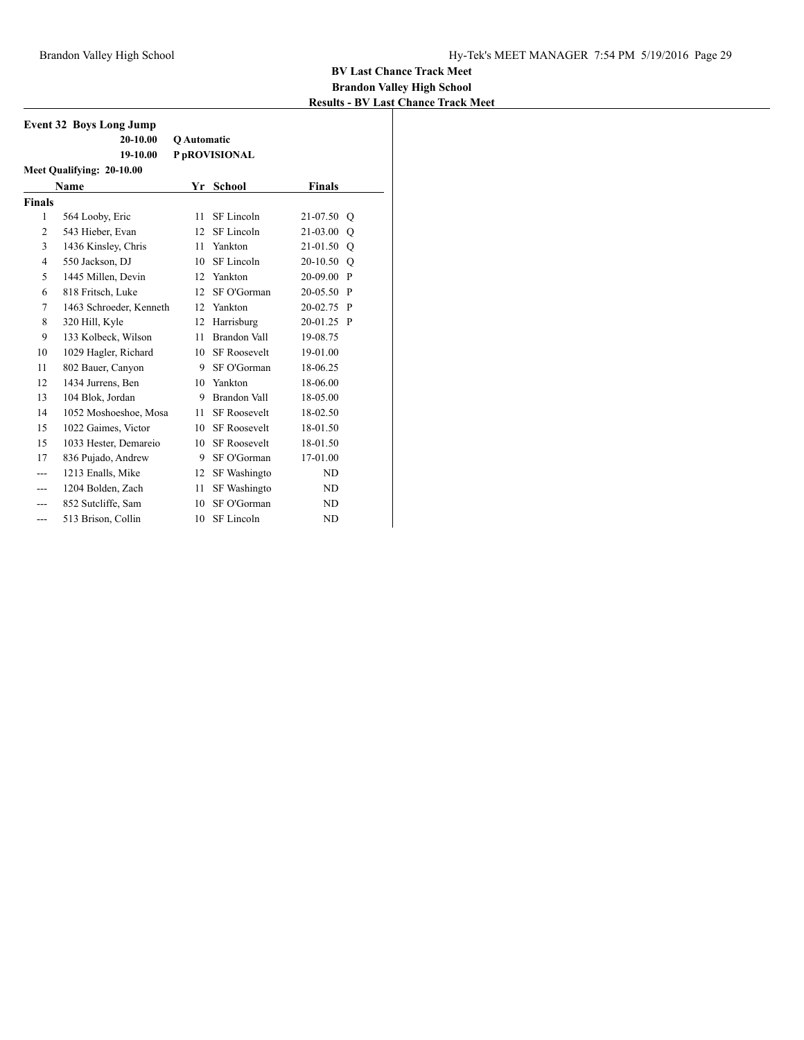| <b>Event 32 Boys Long Jump</b> |                         |             |                     |               |              |  |  |  |
|--------------------------------|-------------------------|-------------|---------------------|---------------|--------------|--|--|--|
|                                | $20 - 10.00$            | Q Automatic |                     |               |              |  |  |  |
|                                | 19-10.00                |             | P pROVISIONAL       |               |              |  |  |  |
| Meet Qualifying: 20-10.00      |                         |             |                     |               |              |  |  |  |
|                                | Name                    |             | Yr School           | <b>Finals</b> |              |  |  |  |
| <b>Finals</b>                  |                         |             |                     |               |              |  |  |  |
| 1                              | 564 Looby, Eric         | 11          | SF Lincoln          | 21-07.50      | $\circ$      |  |  |  |
| $\overline{2}$                 | 543 Hieber, Evan        | 12.         | SF Lincoln          | 21-03.00      | O            |  |  |  |
| 3                              | 1436 Kinsley, Chris     | 11          | Yankton             | 21-01.50      | Q            |  |  |  |
| 4                              | 550 Jackson, DJ         | 10          | SF Lincoln          | 20-10.50 O    |              |  |  |  |
| 5                              | 1445 Millen, Devin      | 12          | Yankton             | 20-09.00      | P            |  |  |  |
| 6                              | 818 Fritsch, Luke       | 12          | SF O'Gorman         | 20-05.50      | $\mathbf{P}$ |  |  |  |
| 7                              | 1463 Schroeder, Kenneth | 12          | Yankton             | 20-02.75      | $\mathbf{P}$ |  |  |  |
| 8                              | 320 Hill, Kyle          | 12          | Harrisburg          | 20-01.25 P    |              |  |  |  |
| 9                              | 133 Kolbeck, Wilson     | 11          | Brandon Vall        | 19-08.75      |              |  |  |  |
| 10                             | 1029 Hagler, Richard    | 10          | <b>SF Roosevelt</b> | 19-01.00      |              |  |  |  |
| 11                             | 802 Bauer, Canyon       | 9           | SF O'Gorman         | 18-06.25      |              |  |  |  |
| 12                             | 1434 Jurrens, Ben       | 10          | Yankton             | 18-06.00      |              |  |  |  |
| 13                             | 104 Blok, Jordan        | 9           | <b>Brandon Vall</b> | 18-05.00      |              |  |  |  |
| 14                             | 1052 Moshoeshoe, Mosa   | 11          | <b>SF Roosevelt</b> | 18-02.50      |              |  |  |  |
| 15                             | 1022 Gaimes, Victor     | 10          | <b>SF Roosevelt</b> | 18-01.50      |              |  |  |  |
| 15                             | 1033 Hester, Demareio   | 10          | <b>SF Roosevelt</b> | 18-01.50      |              |  |  |  |
| 17                             | 836 Pujado, Andrew      | 9           | SF O'Gorman         | 17-01.00      |              |  |  |  |
| ---                            | 1213 Enalls, Mike       | 12          | <b>SF</b> Washingto | ND            |              |  |  |  |
| ---                            | 1204 Bolden, Zach       | 11          | SF Washingto        | ND            |              |  |  |  |
| ---                            | 852 Sutcliffe, Sam      | 10          | SF O'Gorman         | ND            |              |  |  |  |
| ---                            | 513 Brison, Collin      | 10          | SF Lincoln          | <b>ND</b>     |              |  |  |  |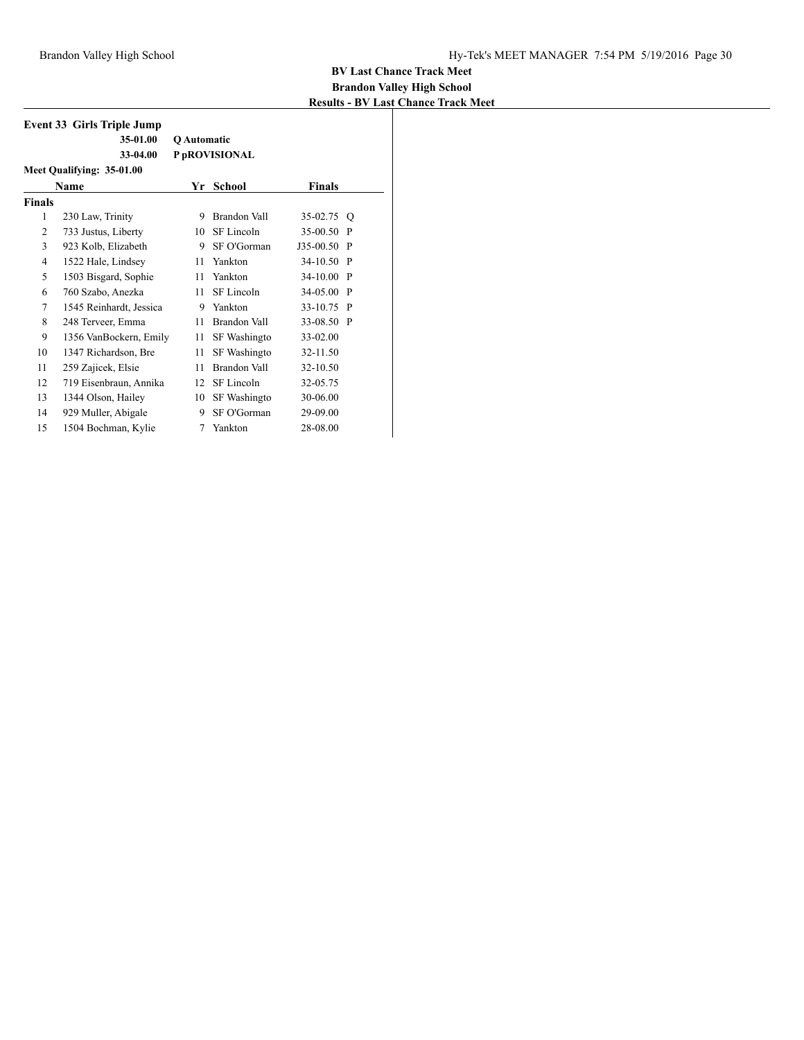| <b>Event 33 Girls Triple Jump</b> |                         |             |                     |            |              |  |  |  |
|-----------------------------------|-------------------------|-------------|---------------------|------------|--------------|--|--|--|
|                                   | 35-01.00                | Q Automatic |                     |            |              |  |  |  |
|                                   | 33-04.00                |             | P pROVISIONAL       |            |              |  |  |  |
| Meet Qualifying: 35-01.00         |                         |             |                     |            |              |  |  |  |
|                                   | Name                    | Yr          | <b>School</b>       | Finals     |              |  |  |  |
| <b>Finals</b>                     |                         |             |                     |            |              |  |  |  |
| 1                                 | 230 Law, Trinity        | 9           | Brandon Vall        | 35-02.75   | O            |  |  |  |
| 2                                 | 733 Justus, Liberty     | 10          | SF Lincoln          | 35-00.50   | P            |  |  |  |
| 3                                 | 923 Kolb, Elizabeth     | 9           | SF O'Gorman         | J35-00.50  | $\mathbf{P}$ |  |  |  |
| $\overline{4}$                    | 1522 Hale, Lindsey      | 11          | Yankton             | 34-10.50   | P            |  |  |  |
| 5                                 | 1503 Bisgard, Sophie    | 11          | Yankton             | 34-10.00   | P            |  |  |  |
| 6                                 | 760 Szabo, Anezka       | 11          | SF Lincoln          | 34-05.00   | P            |  |  |  |
| 7                                 | 1545 Reinhardt, Jessica | 9           | Yankton             | 33-10.75 P |              |  |  |  |
| 8                                 | 248 Terveer, Emma       | 11          | Brandon Vall        | 33-08.50   | $\mathbf{P}$ |  |  |  |
| 9                                 | 1356 VanBockern, Emily  | 11          | SF Washingto        | 33-02.00   |              |  |  |  |
| 10                                | 1347 Richardson, Bre    | 11          | SF Washingto        | 32-11.50   |              |  |  |  |
| 11                                | 259 Zajicek, Elsie      | 11          | <b>Brandon Vall</b> | 32-10.50   |              |  |  |  |
| 12                                | 719 Eisenbraun, Annika  | 12          | SF Lincoln          | 32-05.75   |              |  |  |  |
| 13                                | 1344 Olson, Hailey      | 10          | SF Washingto        | 30-06.00   |              |  |  |  |
| 14                                | 929 Muller, Abigale     | 9           | SF O'Gorman         | 29-09.00   |              |  |  |  |
| 15                                | 1504 Bochman, Kylie     | 7           | Yankton             | 28-08.00   |              |  |  |  |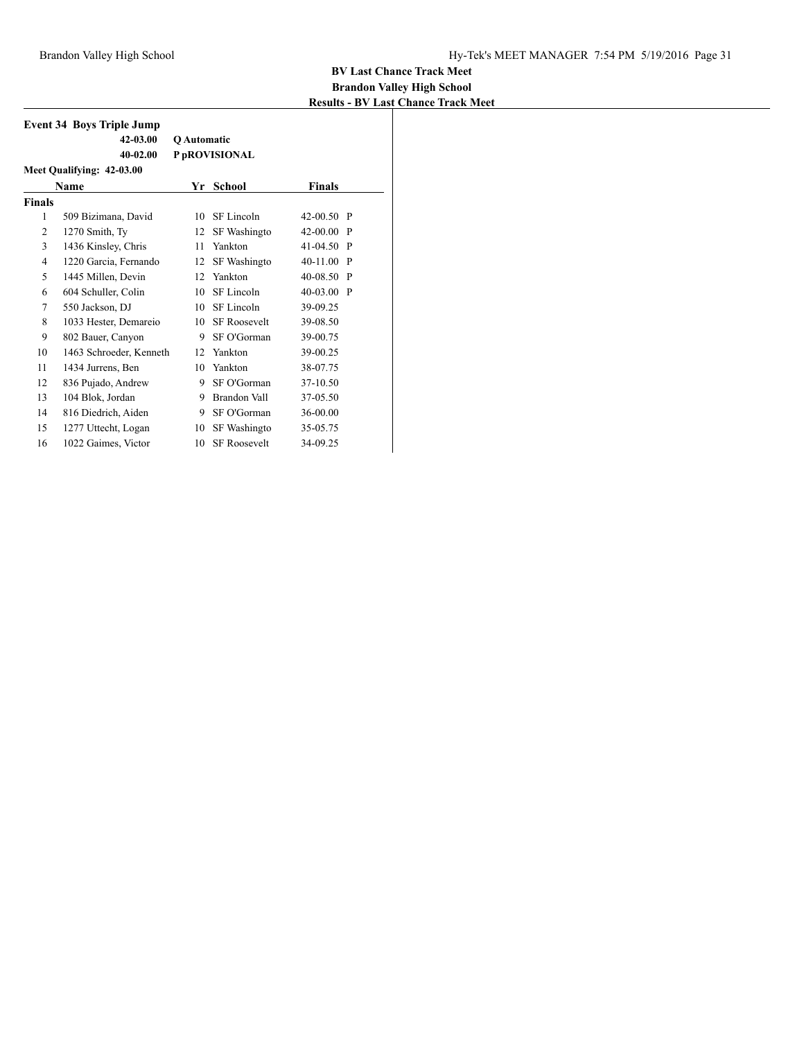|                           | <b>Event 34 Boys Triple Jump</b> |             |                     |              |              |  |  |  |
|---------------------------|----------------------------------|-------------|---------------------|--------------|--------------|--|--|--|
|                           | 42-03.00                         | Q Automatic |                     |              |              |  |  |  |
|                           | $40 - 02.00$                     |             | P pROVISIONAL       |              |              |  |  |  |
| Meet Qualifying: 42-03.00 |                                  |             |                     |              |              |  |  |  |
|                           | Name                             | Yr          | School              | Finals       |              |  |  |  |
| <b>Finals</b>             |                                  |             |                     |              |              |  |  |  |
| 1                         | 509 Bizimana, David              | 10          | SF Lincoln          | $42-00.50$ P |              |  |  |  |
| $\overline{2}$            | 1270 Smith, Ty                   | 12          | SF Washingto        | $42-00.00$ P |              |  |  |  |
| 3                         | 1436 Kinsley, Chris              | 11          | Yankton             | 41-04.50 P   |              |  |  |  |
| $\overline{4}$            | 1220 Garcia, Fernando            | 12          | SF Washingto        | 40-11.00     | $\mathbf{P}$ |  |  |  |
| 5                         | 1445 Millen, Devin               | 12          | Yankton             | $40 - 08.50$ | $\mathbf{P}$ |  |  |  |
| 6                         | 604 Schuller, Colin              | 10          | SF Lincoln          | 40-03.00 P   |              |  |  |  |
| 7                         | 550 Jackson, DJ                  | 10          | SF Lincoln          | 39-09.25     |              |  |  |  |
| 8                         | 1033 Hester, Demareio            | 10          | <b>SF Roosevelt</b> | 39-08.50     |              |  |  |  |
| 9                         | 802 Bauer, Canyon                | 9           | SF O'Gorman         | 39-00.75     |              |  |  |  |
| 10                        | 1463 Schroeder, Kenneth          | 12          | Yankton             | 39-00.25     |              |  |  |  |
| 11                        | 1434 Jurrens, Ben                | 10          | Yankton             | 38-07.75     |              |  |  |  |
| 12                        | 836 Pujado, Andrew               | 9           | SF O'Gorman         | 37-10.50     |              |  |  |  |
| 13                        | 104 Blok, Jordan                 | 9           | Brandon Vall        | 37-05.50     |              |  |  |  |
| 14                        | 816 Diedrich, Aiden              | 9           | SF O'Gorman         | 36-00.00     |              |  |  |  |
| 15                        | 1277 Uttecht, Logan              | 10          | <b>SF</b> Washingto | 35-05.75     |              |  |  |  |
| 16                        | 1022 Gaimes, Victor              | 10          | <b>SF Roosevelt</b> | 34-09.25     |              |  |  |  |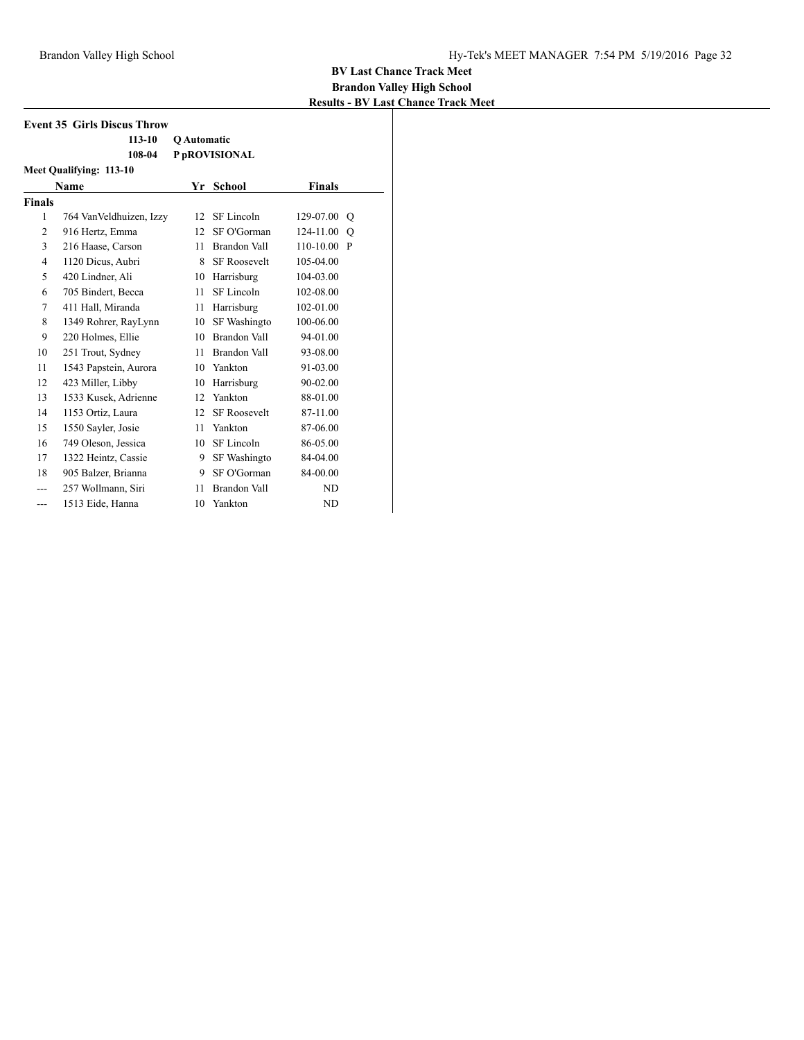| <b>Event 35 Girls Discus Throw</b> |                          |             |                     |               |              |  |  |
|------------------------------------|--------------------------|-------------|---------------------|---------------|--------------|--|--|
|                                    | $113 - 10$               | Q Automatic |                     |               |              |  |  |
|                                    | 108-04                   |             | P pROVISIONAL       |               |              |  |  |
| Meet Qualifying: 113-10            |                          |             |                     |               |              |  |  |
|                                    | Name                     |             | Yr School           | <b>Finals</b> |              |  |  |
| <b>Finals</b>                      |                          |             |                     |               |              |  |  |
| $\mathbf{1}$                       | 764 Van Veldhuizen, Izzy | 12          | SF Lincoln          | 129-07.00     | O            |  |  |
| $\overline{2}$                     | 916 Hertz, Emma          | 12          | SF O'Gorman         | 124-11.00     | O            |  |  |
| 3                                  | 216 Haase, Carson        | 11          | <b>Brandon Vall</b> | 110-10.00     | $\mathbf{P}$ |  |  |
| $\overline{4}$                     | 1120 Dicus, Aubri        | 8           | <b>SF Roosevelt</b> | 105-04.00     |              |  |  |
| 5                                  | 420 Lindner, Ali         | 10          | Harrisburg          | 104-03.00     |              |  |  |
| 6                                  | 705 Bindert, Becca       | 11          | SF Lincoln          | 102-08.00     |              |  |  |
| 7                                  | 411 Hall, Miranda        | 11          | Harrisburg          | 102-01.00     |              |  |  |
| 8                                  | 1349 Rohrer, RayLynn     | 10          | SF Washingto        | 100-06.00     |              |  |  |
| 9                                  | 220 Holmes, Ellie        | 10          | Brandon Vall        | 94-01.00      |              |  |  |
| 10                                 | 251 Trout, Sydney        | 11          | Brandon Vall        | 93-08.00      |              |  |  |
| 11                                 | 1543 Papstein, Aurora    | 10          | Yankton             | 91-03.00      |              |  |  |
| 12                                 | 423 Miller, Libby        | 10          | Harrisburg          | 90-02.00      |              |  |  |
| 13                                 | 1533 Kusek, Adrienne     | 12          | Yankton             | 88-01.00      |              |  |  |
| 14                                 | 1153 Ortiz, Laura        | 12          | <b>SF Roosevelt</b> | 87-11.00      |              |  |  |
| 15                                 | 1550 Sayler, Josie       | 11          | Yankton             | 87-06.00      |              |  |  |
| 16                                 | 749 Oleson, Jessica      | 10          | SF Lincoln          | 86-05.00      |              |  |  |
| 17                                 | 1322 Heintz, Cassie      | 9           | SF Washingto        | 84-04.00      |              |  |  |
| 18                                 | 905 Balzer, Brianna      | 9           | SF O'Gorman         | 84-00.00      |              |  |  |
| ---                                | 257 Wollmann, Siri       | 11          | Brandon Vall        | ND            |              |  |  |
| ---                                | 1513 Eide, Hanna         | 10          | Yankton             | ND            |              |  |  |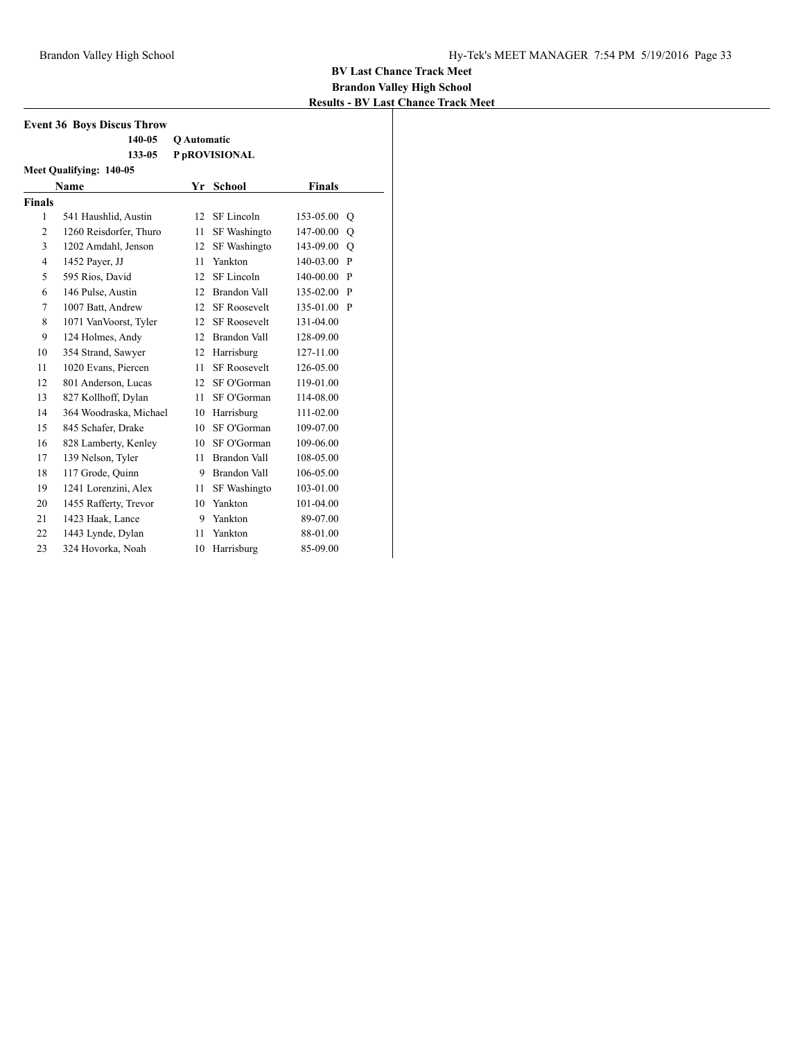| <b>Event 36 Boys Discus Throw</b> |                        |                    |                     |               |     |  |  |  |
|-----------------------------------|------------------------|--------------------|---------------------|---------------|-----|--|--|--|
|                                   | 140-05                 | <b>O</b> Automatic |                     |               |     |  |  |  |
|                                   | 133-05                 |                    | P pROVISIONAL       |               |     |  |  |  |
| Meet Qualifying: 140-05           |                        |                    |                     |               |     |  |  |  |
|                                   | <b>Name</b>            | Yr                 | <b>School</b>       | <b>Finals</b> |     |  |  |  |
| <b>Finals</b>                     |                        |                    |                     |               |     |  |  |  |
| 1                                 | 541 Haushlid, Austin   | 12 <sup>2</sup>    | SF Lincoln          | 153-05.00     | O   |  |  |  |
| $\overline{2}$                    | 1260 Reisdorfer, Thuro | 11                 | SF Washingto        | 147-00.00     | O   |  |  |  |
| 3                                 | 1202 Amdahl, Jenson    | 12                 | SF Washingto        | 143-09.00     | Q   |  |  |  |
| $\overline{4}$                    | 1452 Payer, JJ         | 11                 | Yankton             | 140-03.00     | - P |  |  |  |
| 5                                 | 595 Rios, David        | 12                 | SF Lincoln          | 140-00.00     | P   |  |  |  |
| 6                                 | 146 Pulse, Austin      | 12                 | Brandon Vall        | 135-02.00     | P   |  |  |  |
| 7                                 | 1007 Batt, Andrew      | 12                 | <b>SF Roosevelt</b> | 135-01.00     | P   |  |  |  |
| 8                                 | 1071 VanVoorst, Tyler  | 12 <sup>2</sup>    | <b>SF Roosevelt</b> | 131-04.00     |     |  |  |  |
| 9                                 | 124 Holmes, Andy       |                    | 12 Brandon Vall     | 128-09.00     |     |  |  |  |
| 10                                | 354 Strand, Sawyer     | 12                 | Harrisburg          | 127-11.00     |     |  |  |  |
| 11                                | 1020 Evans, Piercen    | 11                 | <b>SF Roosevelt</b> | 126-05.00     |     |  |  |  |
| 12                                | 801 Anderson, Lucas    | 12 <sup>2</sup>    | SF O'Gorman         | 119-01.00     |     |  |  |  |
| 13                                | 827 Kollhoff, Dylan    | 11                 | SF O'Gorman         | 114-08.00     |     |  |  |  |
| 14                                | 364 Woodraska, Michael | 10                 | Harrisburg          | 111-02.00     |     |  |  |  |
| 15                                | 845 Schafer, Drake     | 10                 | SF O'Gorman         | 109-07.00     |     |  |  |  |
| 16                                | 828 Lamberty, Kenley   | 10                 | SF O'Gorman         | 109-06.00     |     |  |  |  |
| 17                                | 139 Nelson, Tyler      | 11                 | Brandon Vall        | 108-05.00     |     |  |  |  |
| 18                                | 117 Grode, Quinn       | 9                  | Brandon Vall        | 106-05.00     |     |  |  |  |
| 19                                | 1241 Lorenzini, Alex   | 11                 | SF Washingto        | 103-01.00     |     |  |  |  |
| 20                                | 1455 Rafferty, Trevor  | 10                 | Yankton             | 101-04.00     |     |  |  |  |
| 21                                | 1423 Haak, Lance       | 9                  | Yankton             | 89-07.00      |     |  |  |  |
| 22                                | 1443 Lynde, Dylan      | 11                 | Yankton             | 88-01.00      |     |  |  |  |
| 23                                | 324 Hovorka, Noah      | 10                 | Harrisburg          | 85-09.00      |     |  |  |  |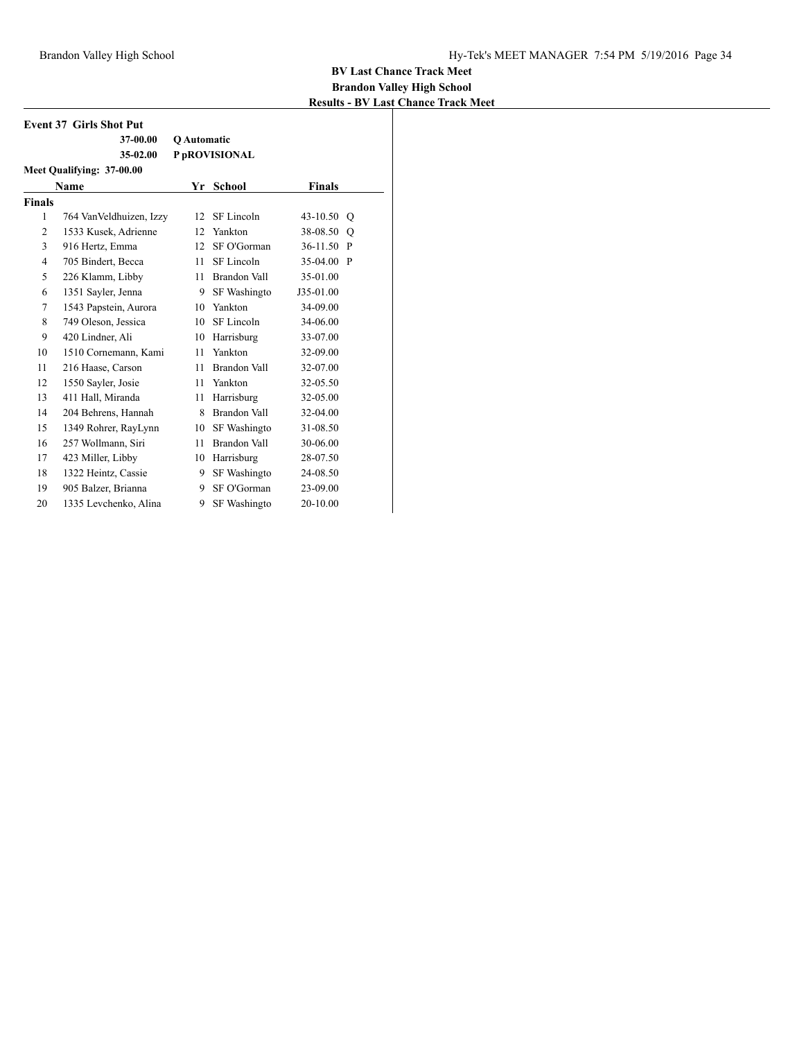| <b>Event 37 Girls Shot Put</b> |                           |                    |               |               |         |  |  |  |  |
|--------------------------------|---------------------------|--------------------|---------------|---------------|---------|--|--|--|--|
|                                | 37-00.00                  | <b>O</b> Automatic |               |               |         |  |  |  |  |
|                                | 35-02.00                  |                    | P pROVISIONAL |               |         |  |  |  |  |
|                                | Meet Qualifying: 37-00.00 |                    |               |               |         |  |  |  |  |
|                                | Name                      |                    | Yr School     | <b>Finals</b> |         |  |  |  |  |
| <b>Finals</b>                  |                           |                    |               |               |         |  |  |  |  |
| 1                              | 764 Van Veldhuizen, Izzy  | 12                 | SF Lincoln    | 43-10.50 Q    |         |  |  |  |  |
| $\overline{2}$                 | 1533 Kusek, Adrienne      | 12                 | Yankton       | 38-08.50      | $\circ$ |  |  |  |  |
| 3                              | 916 Hertz, Emma           | 12                 | SF O'Gorman   | 36-11.50 P    |         |  |  |  |  |
| 4                              | 705 Bindert, Becca        | 11                 | SF Lincoln    | 35-04.00 P    |         |  |  |  |  |
| 5                              | 226 Klamm, Libby          | 11                 | Brandon Vall  | 35-01.00      |         |  |  |  |  |
| 6                              | 1351 Sayler, Jenna        | 9                  | SF Washingto  | J35-01.00     |         |  |  |  |  |
| 7                              | 1543 Papstein, Aurora     | 10                 | Yankton       | 34-09.00      |         |  |  |  |  |
| 8                              | 749 Oleson, Jessica       | 10                 | SF Lincoln    | 34-06.00      |         |  |  |  |  |
| 9                              | 420 Lindner, Ali          | 10                 | Harrisburg    | 33-07.00      |         |  |  |  |  |
| 10                             | 1510 Cornemann, Kami      | 11                 | Yankton       | 32-09.00      |         |  |  |  |  |
| 11                             | 216 Haase, Carson         | 11                 | Brandon Vall  | 32-07.00      |         |  |  |  |  |
| 12                             | 1550 Sayler, Josie        | 11                 | Yankton       | 32-05.50      |         |  |  |  |  |
| 13                             | 411 Hall, Miranda         | 11                 | Harrisburg    | 32-05.00      |         |  |  |  |  |
| 14                             | 204 Behrens, Hannah       | 8                  | Brandon Vall  | 32-04.00      |         |  |  |  |  |
| 15                             | 1349 Rohrer, RayLynn      | 10                 | SF Washingto  | 31-08.50      |         |  |  |  |  |
| 16                             | 257 Wollmann, Siri        | 11                 | Brandon Vall  | 30-06.00      |         |  |  |  |  |
| 17                             | 423 Miller, Libby         | 10                 | Harrisburg    | 28-07.50      |         |  |  |  |  |
| 18                             | 1322 Heintz, Cassie       | 9                  | SF Washingto  | 24-08.50      |         |  |  |  |  |
| 19                             | 905 Balzer, Brianna       | 9                  | SF O'Gorman   | 23-09.00      |         |  |  |  |  |
| 20                             | 1335 Levchenko, Alina     | 9                  | SF Washingto  | 20-10.00      |         |  |  |  |  |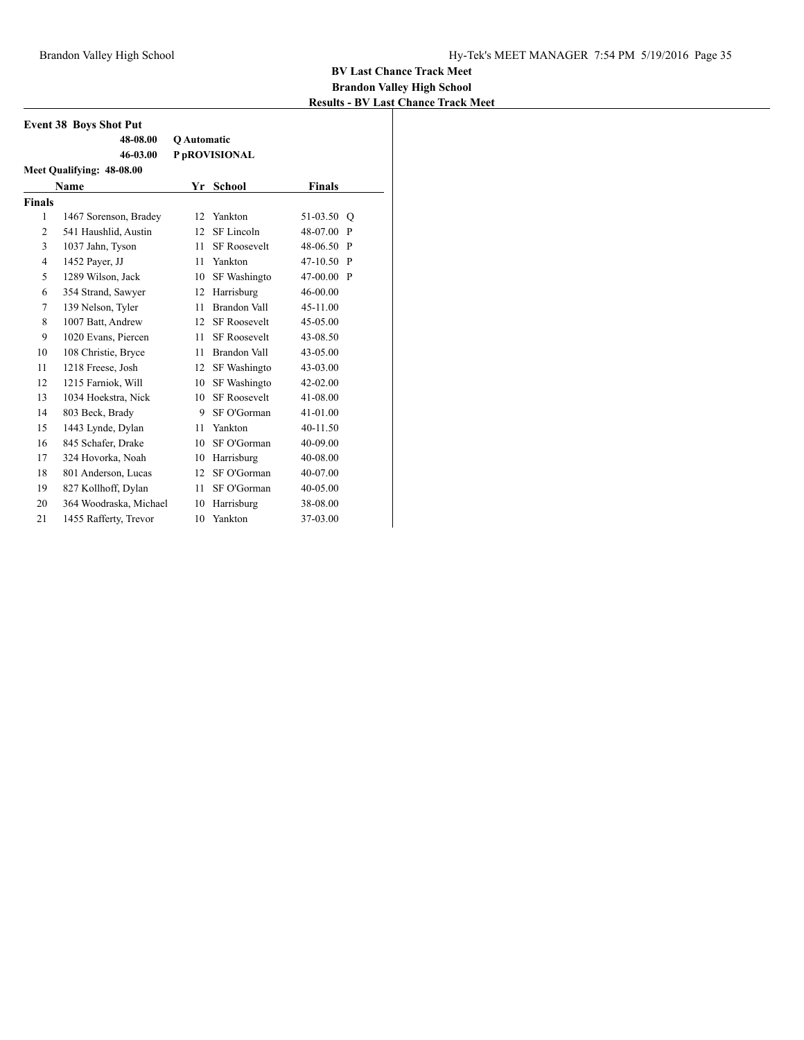|                | <b>Event 38 Boys Shot Put</b> |                    |                     |               |              |  |  |  |
|----------------|-------------------------------|--------------------|---------------------|---------------|--------------|--|--|--|
|                | 48-08.00                      | <b>O</b> Automatic |                     |               |              |  |  |  |
|                | 46-03.00                      |                    | P pROVISIONAL       |               |              |  |  |  |
|                | Meet Qualifying: 48-08.00     |                    |                     |               |              |  |  |  |
|                | Name                          | Yr                 | <b>School</b>       | <b>Finals</b> |              |  |  |  |
| <b>Finals</b>  |                               |                    |                     |               |              |  |  |  |
| 1              | 1467 Sorenson, Bradey         | 12                 | Yankton             | 51-03.50      | O            |  |  |  |
| $\overline{2}$ | 541 Haushlid, Austin          | 12                 | SF Lincoln          | 48-07.00      | P            |  |  |  |
| 3              | 1037 Jahn, Tyson              | 11                 | <b>SF Roosevelt</b> | 48-06.50      | $\mathbf{P}$ |  |  |  |
| $\overline{4}$ | 1452 Payer, JJ                | 11                 | Yankton             | 47-10.50      | $\mathbf{P}$ |  |  |  |
| 5              | 1289 Wilson, Jack             | 10                 | SF Washingto        | 47-00.00 P    |              |  |  |  |
| 6              | 354 Strand, Sawyer            | 12                 | Harrisburg          | 46-00.00      |              |  |  |  |
| 7              | 139 Nelson, Tyler             | 11                 | Brandon Vall        | 45-11.00      |              |  |  |  |
| 8              | 1007 Batt, Andrew             | 12                 | <b>SF Roosevelt</b> | 45-05.00      |              |  |  |  |
| 9              | 1020 Evans, Piercen           | 11                 | <b>SF Roosevelt</b> | 43-08.50      |              |  |  |  |
| 10             | 108 Christie, Bryce           | 11                 | Brandon Vall        | 43-05.00      |              |  |  |  |
| 11             | 1218 Freese, Josh             | 12                 | SF Washingto        | 43-03.00      |              |  |  |  |
| 12             | 1215 Farniok, Will            | 10                 | SF Washingto        | 42-02.00      |              |  |  |  |
| 13             | 1034 Hoekstra, Nick           | 10                 | <b>SF Roosevelt</b> | 41-08.00      |              |  |  |  |
| 14             | 803 Beck, Brady               | 9.                 | SF O'Gorman         | 41-01.00      |              |  |  |  |
| 15             | 1443 Lynde, Dylan             | 11                 | Yankton             | 40-11.50      |              |  |  |  |
| 16             | 845 Schafer, Drake            | 10                 | SF O'Gorman         | 40-09.00      |              |  |  |  |
| 17             | 324 Hovorka, Noah             | 10                 | Harrisburg          | 40-08.00      |              |  |  |  |
| 18             | 801 Anderson, Lucas           | 12                 | SF O'Gorman         | 40-07.00      |              |  |  |  |
| 19             | 827 Kollhoff, Dylan           | 11                 | SF O'Gorman         | 40-05.00      |              |  |  |  |
| 20             | 364 Woodraska, Michael        | 10                 | Harrisburg          | 38-08.00      |              |  |  |  |
| 21             | 1455 Rafferty, Trevor         | 10                 | Yankton             | 37-03.00      |              |  |  |  |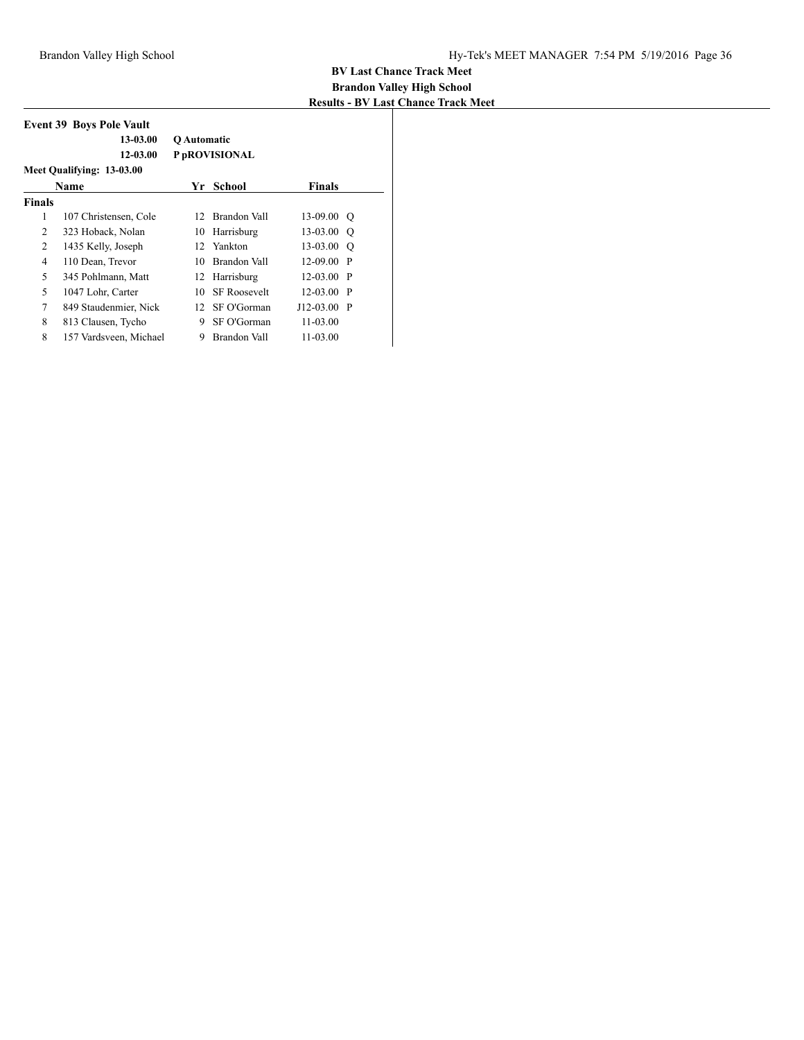| <b>Event 39 Boys Pole Vault</b><br>13-03.00<br><b>O</b> Automatic<br>12-03.00<br>P <sub>p</sub> ROVISIONAL<br>Meet Qualifying: 13-03.00 |                        |    |                     |               |  |  |  |
|-----------------------------------------------------------------------------------------------------------------------------------------|------------------------|----|---------------------|---------------|--|--|--|
|                                                                                                                                         | <b>Name</b>            | Yr | School              | <b>Finals</b> |  |  |  |
| <b>Finals</b>                                                                                                                           |                        |    |                     |               |  |  |  |
| 1                                                                                                                                       | 107 Christensen, Cole  | 12 | Brandon Vall        | $13-09.00$ O  |  |  |  |
| 2                                                                                                                                       | 323 Hoback, Nolan      | 10 | Harrisburg          | $13-03.00$ O  |  |  |  |
| 2                                                                                                                                       | 1435 Kelly, Joseph     | 12 | Yankton             | $13-03.00$ O  |  |  |  |
| 4                                                                                                                                       | 110 Dean, Trevor       | 10 | Brandon Vall        | $12-09.00$ P  |  |  |  |
| 5                                                                                                                                       | 345 Pohlmann, Matt     | 12 | Harrisburg          | $12-03.00$ P  |  |  |  |
| 5                                                                                                                                       | 1047 Lohr, Carter      | 10 | <b>SF Roosevelt</b> | $12-03.00$ P  |  |  |  |
| 7                                                                                                                                       | 849 Staudenmier, Nick  | 12 | SF O'Gorman         | $J12-03.00$ P |  |  |  |
| 8                                                                                                                                       | 813 Clausen, Tycho     | 9  | SF O'Gorman         | 11-03.00      |  |  |  |
| 8                                                                                                                                       | 157 Vardsveen, Michael | 9  | Brandon Vall        | 11-03.00      |  |  |  |